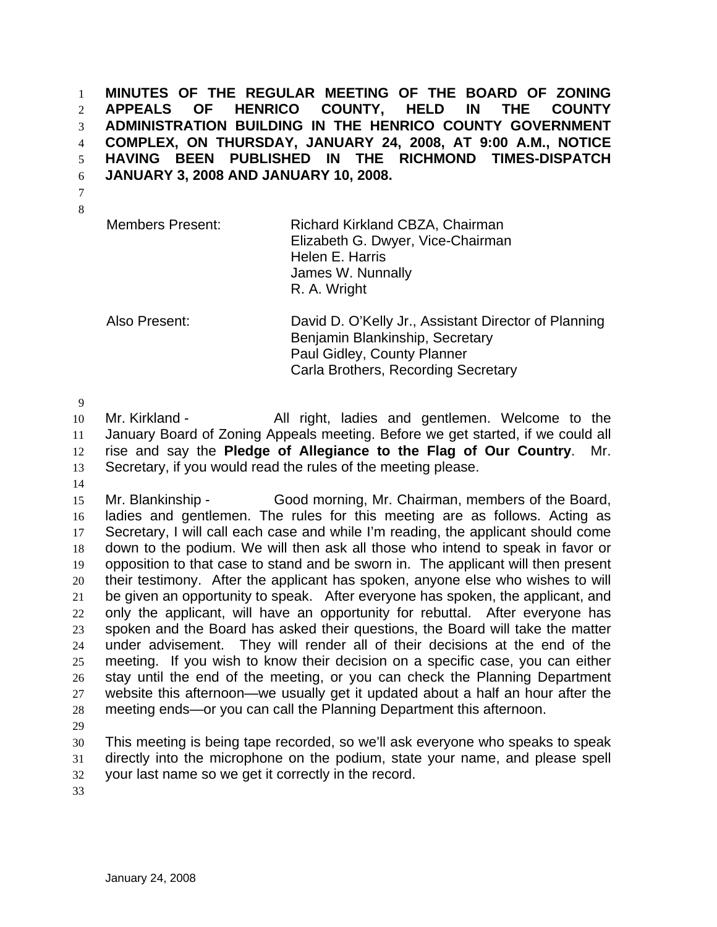**MINUTES OF THE REGULAR MEETING OF THE BOARD OF ZONING APPEALS OF HENRICO COUNTY, HELD IN THE COUNTY ADMINISTRATION BUILDING IN THE HENRICO COUNTY GOVERNMENT COMPLEX, ON THURSDAY, JANUARY 24, 2008, AT 9:00 A.M., NOTICE HAVING BEEN PUBLISHED IN THE RICHMOND TIMES-DISPATCH JANUARY 3, 2008 AND JANUARY 10, 2008.**  1 2 3 4 5 6

7 8

Members Present: Richard Kirkland CBZA, Chairman Elizabeth G. Dwyer, Vice-Chairman Helen E. Harris James W. Nunnally R. A. Wright

Also Present: David D. O'Kelly Jr., Assistant Director of Planning Benjamin Blankinship, Secretary Paul Gidley, County Planner Carla Brothers, Recording Secretary

9

10 11 12 13 Mr. Kirkland - The All right, ladies and gentlemen. Welcome to the January Board of Zoning Appeals meeting. Before we get started, if we could all rise and say the **Pledge of Allegiance to the Flag of Our Country**. Mr. Secretary, if you would read the rules of the meeting please.

14

15 16 17 18 19 20 21 22 23 24 25 26 27 28 Mr. Blankinship - Good morning, Mr. Chairman, members of the Board, ladies and gentlemen. The rules for this meeting are as follows. Acting as Secretary, I will call each case and while I'm reading, the applicant should come down to the podium. We will then ask all those who intend to speak in favor or opposition to that case to stand and be sworn in. The applicant will then present their testimony. After the applicant has spoken, anyone else who wishes to will be given an opportunity to speak. After everyone has spoken, the applicant, and only the applicant, will have an opportunity for rebuttal. After everyone has spoken and the Board has asked their questions, the Board will take the matter under advisement. They will render all of their decisions at the end of the meeting. If you wish to know their decision on a specific case, you can either stay until the end of the meeting, or you can check the Planning Department website this afternoon—we usually get it updated about a half an hour after the meeting ends—or you can call the Planning Department this afternoon.

29

30 31 32 This meeting is being tape recorded, so we'll ask everyone who speaks to speak directly into the microphone on the podium, state your name, and please spell your last name so we get it correctly in the record.

33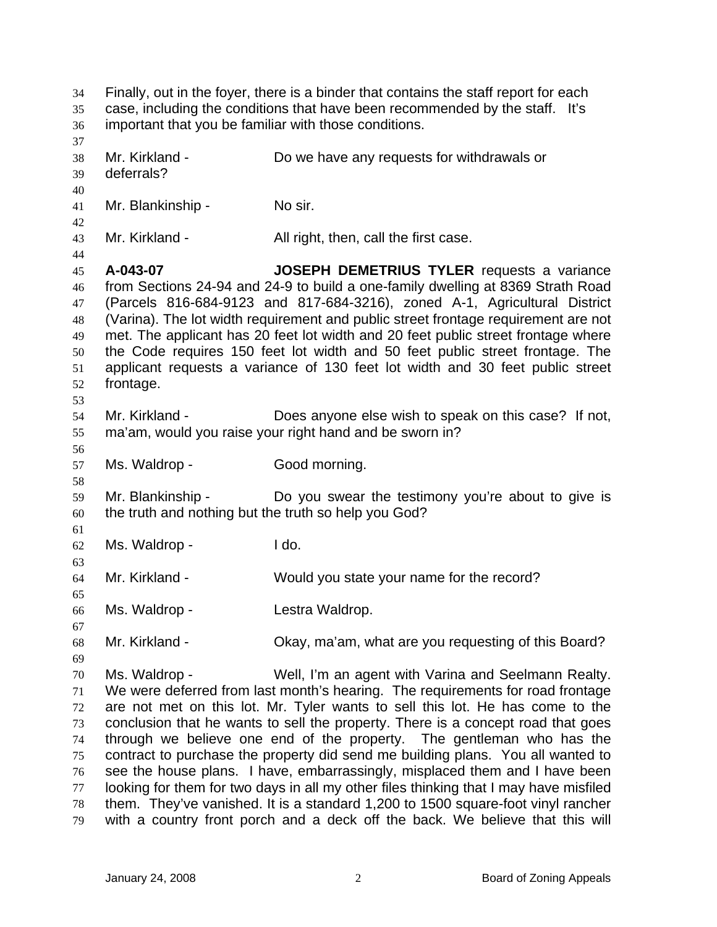| 34<br>35<br>36                                               | Finally, out in the foyer, there is a binder that contains the staff report for each<br>case, including the conditions that have been recommended by the staff. It's<br>important that you be familiar with those conditions. |                                                                                                                                                                                                                                                                                                                                                                                                                                                                                                                                                                                                                                                                                                                                                                                                                     |  |
|--------------------------------------------------------------|-------------------------------------------------------------------------------------------------------------------------------------------------------------------------------------------------------------------------------|---------------------------------------------------------------------------------------------------------------------------------------------------------------------------------------------------------------------------------------------------------------------------------------------------------------------------------------------------------------------------------------------------------------------------------------------------------------------------------------------------------------------------------------------------------------------------------------------------------------------------------------------------------------------------------------------------------------------------------------------------------------------------------------------------------------------|--|
| 37<br>38<br>39<br>40                                         | Mr. Kirkland -<br>deferrals?                                                                                                                                                                                                  | Do we have any requests for withdrawals or                                                                                                                                                                                                                                                                                                                                                                                                                                                                                                                                                                                                                                                                                                                                                                          |  |
| 41<br>42                                                     | Mr. Blankinship -                                                                                                                                                                                                             | No sir.                                                                                                                                                                                                                                                                                                                                                                                                                                                                                                                                                                                                                                                                                                                                                                                                             |  |
| 43<br>44                                                     | Mr. Kirkland -                                                                                                                                                                                                                | All right, then, call the first case.                                                                                                                                                                                                                                                                                                                                                                                                                                                                                                                                                                                                                                                                                                                                                                               |  |
| 45<br>46<br>47<br>48<br>49<br>50<br>51<br>52<br>53           | A-043-07<br>frontage.                                                                                                                                                                                                         | <b>JOSEPH DEMETRIUS TYLER</b> requests a variance<br>from Sections 24-94 and 24-9 to build a one-family dwelling at 8369 Strath Road<br>(Parcels 816-684-9123 and 817-684-3216), zoned A-1, Agricultural District<br>(Varina). The lot width requirement and public street frontage requirement are not<br>met. The applicant has 20 feet lot width and 20 feet public street frontage where<br>the Code requires 150 feet lot width and 50 feet public street frontage. The<br>applicant requests a variance of 130 feet lot width and 30 feet public street                                                                                                                                                                                                                                                       |  |
| 54<br>55<br>56                                               | Mr. Kirkland -                                                                                                                                                                                                                | Does anyone else wish to speak on this case? If not,<br>ma'am, would you raise your right hand and be sworn in?                                                                                                                                                                                                                                                                                                                                                                                                                                                                                                                                                                                                                                                                                                     |  |
| 57<br>58                                                     | Ms. Waldrop -                                                                                                                                                                                                                 | Good morning.                                                                                                                                                                                                                                                                                                                                                                                                                                                                                                                                                                                                                                                                                                                                                                                                       |  |
| 59<br>60<br>61                                               | Mr. Blankinship -<br>the truth and nothing but the truth so help you God?                                                                                                                                                     | Do you swear the testimony you're about to give is                                                                                                                                                                                                                                                                                                                                                                                                                                                                                                                                                                                                                                                                                                                                                                  |  |
| 62<br>63                                                     | Ms. Waldrop -                                                                                                                                                                                                                 | I do.                                                                                                                                                                                                                                                                                                                                                                                                                                                                                                                                                                                                                                                                                                                                                                                                               |  |
| 64<br>65                                                     | Mr. Kirkland -                                                                                                                                                                                                                | Would you state your name for the record?                                                                                                                                                                                                                                                                                                                                                                                                                                                                                                                                                                                                                                                                                                                                                                           |  |
| 66<br>67                                                     | Ms. Waldrop -                                                                                                                                                                                                                 | Lestra Waldrop.                                                                                                                                                                                                                                                                                                                                                                                                                                                                                                                                                                                                                                                                                                                                                                                                     |  |
| 68<br>69                                                     | Mr. Kirkland -                                                                                                                                                                                                                | Okay, ma'am, what are you requesting of this Board?                                                                                                                                                                                                                                                                                                                                                                                                                                                                                                                                                                                                                                                                                                                                                                 |  |
| $70\,$<br>71<br>72<br>73<br>74<br>75<br>76<br>77<br>78<br>79 | Ms. Waldrop -                                                                                                                                                                                                                 | Well, I'm an agent with Varina and Seelmann Realty.<br>We were deferred from last month's hearing. The requirements for road frontage<br>are not met on this lot. Mr. Tyler wants to sell this lot. He has come to the<br>conclusion that he wants to sell the property. There is a concept road that goes<br>through we believe one end of the property. The gentleman who has the<br>contract to purchase the property did send me building plans. You all wanted to<br>see the house plans. I have, embarrassingly, misplaced them and I have been<br>looking for them for two days in all my other files thinking that I may have misfiled<br>them. They've vanished. It is a standard 1,200 to 1500 square-foot vinyl rancher<br>with a country front porch and a deck off the back. We believe that this will |  |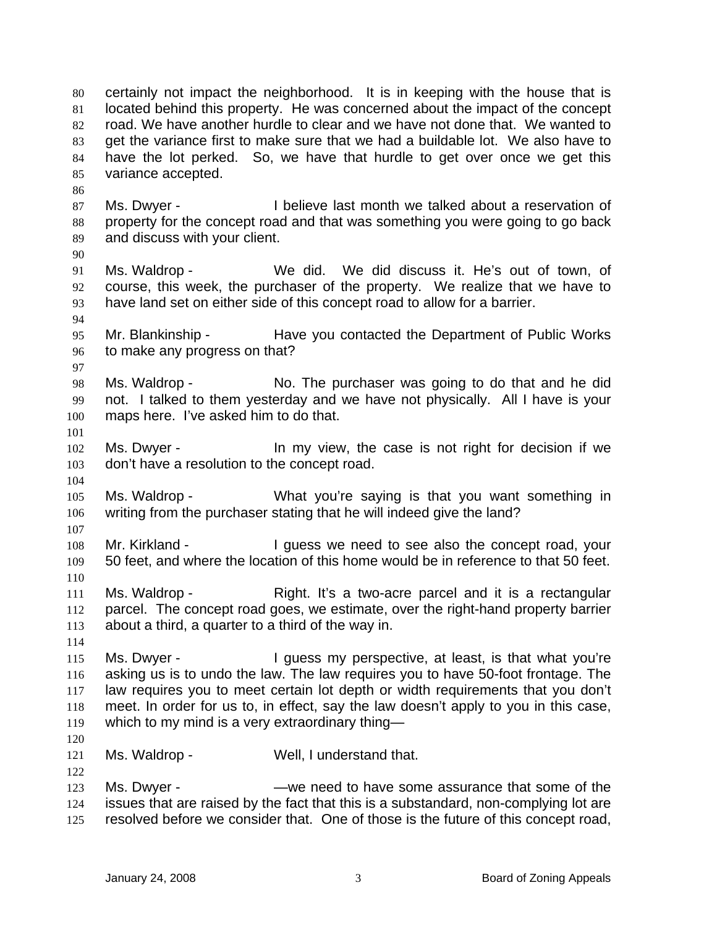certainly not impact the neighborhood. It is in keeping with the house that is located behind this property. He was concerned about the impact of the concept road. We have another hurdle to clear and we have not done that. We wanted to get the variance first to make sure that we had a buildable lot. We also have to have the lot perked. So, we have that hurdle to get over once we get this variance accepted. 80 81 82 83 84 85 86 87 88 89 90 91 92 93 94 95 96 97 98 99 100 101 102 103 104 105 106 107 108 109 110 111 112 113 114 115 116 117 118 119 120 121 122 123 124 Ms. Dwyer - I believe last month we talked about a reservation of property for the concept road and that was something you were going to go back and discuss with your client. Ms. Waldrop - We did. We did discuss it. He's out of town, of course, this week, the purchaser of the property. We realize that we have to have land set on either side of this concept road to allow for a barrier. Mr. Blankinship - Have you contacted the Department of Public Works to make any progress on that? Ms. Waldrop - No. The purchaser was going to do that and he did not. I talked to them yesterday and we have not physically. All I have is your maps here. I've asked him to do that. Ms. Dwyer - In my view, the case is not right for decision if we don't have a resolution to the concept road. Ms. Waldrop - What you're saying is that you want something in writing from the purchaser stating that he will indeed give the land? Mr. Kirkland - I guess we need to see also the concept road, your 50 feet, and where the location of this home would be in reference to that 50 feet. Ms. Waldrop - Right. It's a two-acre parcel and it is a rectangular parcel. The concept road goes, we estimate, over the right-hand property barrier about a third, a quarter to a third of the way in. Ms. Dwyer - The Unit of Perspective, at least, is that what you're asking us is to undo the law. The law requires you to have 50-foot frontage. The law requires you to meet certain lot depth or width requirements that you don't meet. In order for us to, in effect, say the law doesn't apply to you in this case, which to my mind is a very extraordinary thing— Ms. Waldrop - Well, I understand that. Ms. Dwyer - —we need to have some assurance that some of the issues that are raised by the fact that this is a substandard, non-complying lot are

125 resolved before we consider that. One of those is the future of this concept road,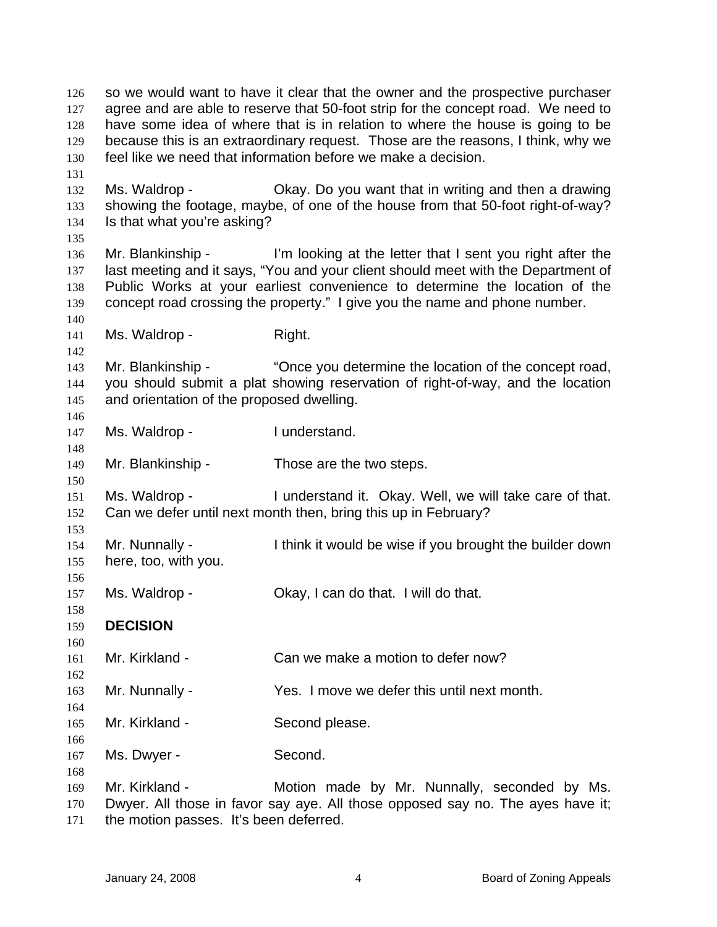so we would want to have it clear that the owner and the prospective purchaser agree and are able to reserve that 50-foot strip for the concept road. We need to have some idea of where that is in relation to where the house is going to be because this is an extraordinary request. Those are the reasons, I think, why we feel like we need that information before we make a decision. 126 127 128 129 130 131 132 133 134 135 136 137 138 139 140 141 142 143 144 145 146 147 148 149 150 151 152 153 154 155 156 157 158 159 160 161 162 163 164 165 166 167 168 169 170 Ms. Waldrop - Chay. Do you want that in writing and then a drawing showing the footage, maybe, of one of the house from that 50-foot right-of-way? Is that what you're asking? Mr. Blankinship - I'm looking at the letter that I sent you right after the last meeting and it says, "You and your client should meet with the Department of Public Works at your earliest convenience to determine the location of the concept road crossing the property." I give you the name and phone number. Ms. Waldrop - Right. Mr. Blankinship - "Once you determine the location of the concept road, you should submit a plat showing reservation of right-of-way, and the location and orientation of the proposed dwelling. Ms. Waldrop - The I understand. Mr. Blankinship - Those are the two steps. Ms. Waldrop - The Understand it. Okay. Well, we will take care of that. Can we defer until next month then, bring this up in February? Mr. Nunnally - I think it would be wise if you brought the builder down here, too, with you. Ms. Waldrop - Chay, I can do that. I will do that. **DECISION**  Mr. Kirkland - Can we make a motion to defer now? Mr. Nunnally - Yes. I move we defer this until next month. Mr. Kirkland - Second please. Ms. Dwyer - Second. Mr. Kirkland - Motion made by Mr. Nunnally, seconded by Ms. Dwyer. All those in favor say aye. All those opposed say no. The ayes have it;

171 the motion passes. It's been deferred.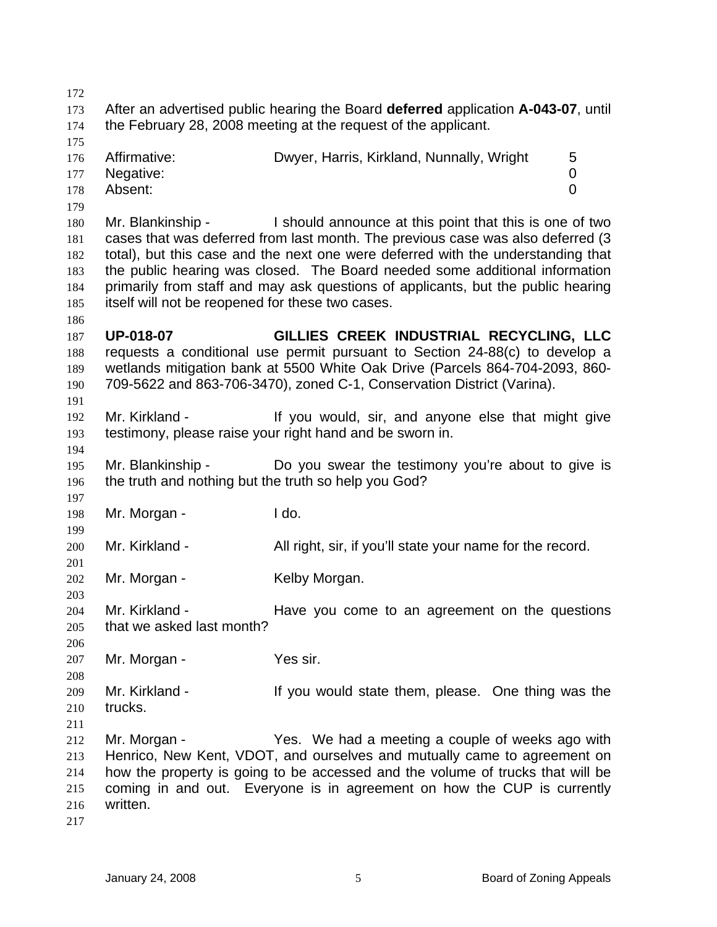| 172        |                                                      |                                                                                   |                |
|------------|------------------------------------------------------|-----------------------------------------------------------------------------------|----------------|
| 173        |                                                      | After an advertised public hearing the Board deferred application A-043-07, until |                |
| 174        |                                                      | the February 28, 2008 meeting at the request of the applicant.                    |                |
| 175        |                                                      |                                                                                   |                |
| 176        | Affirmative:                                         | Dwyer, Harris, Kirkland, Nunnally, Wright                                         | 5              |
| 177        | Negative:                                            |                                                                                   | 0              |
| 178        | Absent:                                              |                                                                                   | $\overline{0}$ |
| 179        |                                                      |                                                                                   |                |
| 180        | Mr. Blankinship -                                    | I should announce at this point that this is one of two                           |                |
| 181        |                                                      | cases that was deferred from last month. The previous case was also deferred (3)  |                |
| 182        |                                                      | total), but this case and the next one were deferred with the understanding that  |                |
| 183        |                                                      | the public hearing was closed. The Board needed some additional information       |                |
| 184        |                                                      | primarily from staff and may ask questions of applicants, but the public hearing  |                |
| 185        | itself will not be reopened for these two cases.     |                                                                                   |                |
| 186        |                                                      |                                                                                   |                |
| 187        | <b>UP-018-07</b>                                     | GILLIES CREEK INDUSTRIAL RECYCLING, LLC                                           |                |
| 188        |                                                      | requests a conditional use permit pursuant to Section 24-88(c) to develop a       |                |
| 189        |                                                      | wetlands mitigation bank at 5500 White Oak Drive (Parcels 864-704-2093, 860-      |                |
| 190        |                                                      | 709-5622 and 863-706-3470), zoned C-1, Conservation District (Varina).            |                |
| 191        |                                                      |                                                                                   |                |
| 192        | Mr. Kirkland -                                       | If you would, sir, and anyone else that might give                                |                |
| 193        |                                                      | testimony, please raise your right hand and be sworn in.                          |                |
|            |                                                      |                                                                                   |                |
| 194<br>195 | Mr. Blankinship -                                    | Do you swear the testimony you're about to give is                                |                |
| 196        | the truth and nothing but the truth so help you God? |                                                                                   |                |
| 197        |                                                      |                                                                                   |                |
|            | Mr. Morgan -                                         | I do.                                                                             |                |
| 198        |                                                      |                                                                                   |                |
| 199        | Mr. Kirkland -                                       |                                                                                   |                |
| 200        |                                                      | All right, sir, if you'll state your name for the record.                         |                |
| 201        |                                                      | Kelby Morgan.                                                                     |                |
| 202        | Mr. Morgan -                                         |                                                                                   |                |
| 203        | Mr. Kirkland -                                       |                                                                                   |                |
| 204        |                                                      | Have you come to an agreement on the questions                                    |                |
| 205        | that we asked last month?                            |                                                                                   |                |
| 206        |                                                      |                                                                                   |                |
| 207        | Mr. Morgan -                                         | Yes sir.                                                                          |                |
| 208        |                                                      |                                                                                   |                |
| 209        | Mr. Kirkland -                                       | If you would state them, please. One thing was the                                |                |
| 210        | trucks.                                              |                                                                                   |                |
| 211        |                                                      |                                                                                   |                |
| 212        | Mr. Morgan -                                         | Yes. We had a meeting a couple of weeks ago with                                  |                |
| 213        |                                                      | Henrico, New Kent, VDOT, and ourselves and mutually came to agreement on          |                |
| 214        |                                                      | how the property is going to be accessed and the volume of trucks that will be    |                |
| 215        |                                                      | coming in and out. Everyone is in agreement on how the CUP is currently           |                |
| 216        | written.                                             |                                                                                   |                |
| 217        |                                                      |                                                                                   |                |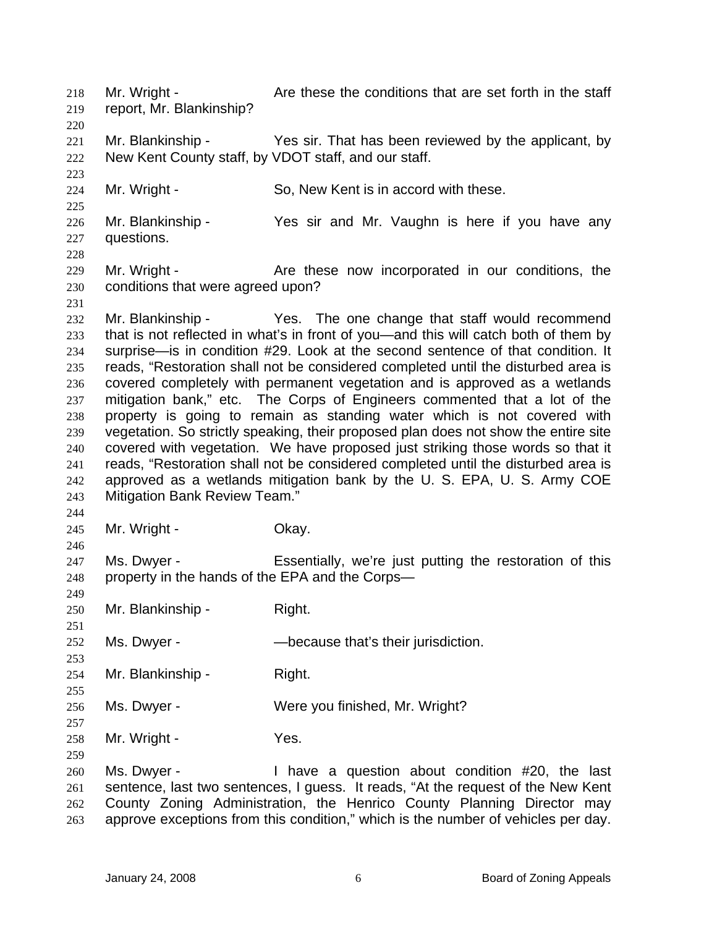Mr. Wright - The State of the set the conditions that are set forth in the staff report, Mr. Blankinship? 218 219 220 221 222 223 224 225 226 227 228 229 230 231 232 233 234 235 236 237 238 239 240 241 242 243 244 245 246 247 248 249 250 251 252 253 254 255 256 257 258 259 260 261 262 263 Mr. Blankinship - Yes sir. That has been reviewed by the applicant, by New Kent County staff, by VDOT staff, and our staff. Mr. Wright - So, New Kent is in accord with these. Mr. Blankinship - Yes sir and Mr. Vaughn is here if you have any questions. Mr. Wright - The Are these now incorporated in our conditions, the conditions that were agreed upon? Mr. Blankinship - Thes. The one change that staff would recommend that is not reflected in what's in front of you—and this will catch both of them by surprise—is in condition #29. Look at the second sentence of that condition. It reads, "Restoration shall not be considered completed until the disturbed area is covered completely with permanent vegetation and is approved as a wetlands mitigation bank," etc. The Corps of Engineers commented that a lot of the property is going to remain as standing water which is not covered with vegetation. So strictly speaking, their proposed plan does not show the entire site covered with vegetation. We have proposed just striking those words so that it reads, "Restoration shall not be considered completed until the disturbed area is approved as a wetlands mitigation bank by the U. S. EPA, U. S. Army COE Mitigation Bank Review Team." Mr. Wright - Chay. Ms. Dwyer - Essentially, we're just putting the restoration of this property in the hands of the EPA and the Corps— Mr. Blankinship - Right. Ms. Dwyer - The Cause that's their jurisdiction. Mr. Blankinship - Right. Ms. Dwyer - Were you finished, Mr. Wright? Mr. Wright - Yes. Ms. Dwyer - I have a question about condition #20, the last sentence, last two sentences, I guess. It reads, "At the request of the New Kent County Zoning Administration, the Henrico County Planning Director may approve exceptions from this condition," which is the number of vehicles per day.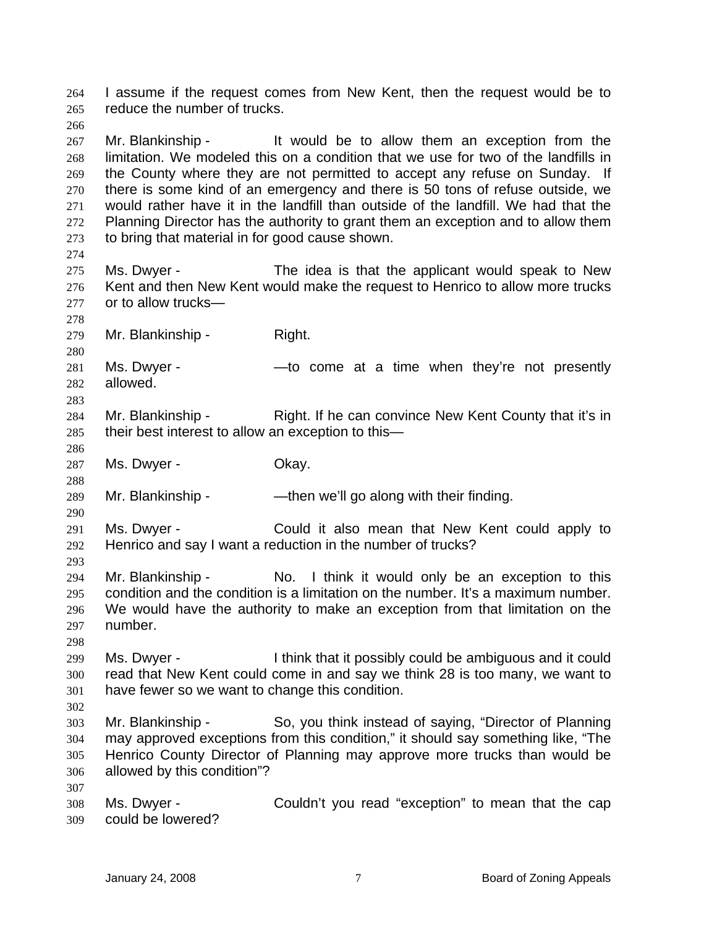I assume if the request comes from New Kent, then the request would be to reduce the number of trucks. 264 265

267 268 269 270 271 272 273 Mr. Blankinship - It would be to allow them an exception from the limitation. We modeled this on a condition that we use for two of the landfills in the County where they are not permitted to accept any refuse on Sunday. If there is some kind of an emergency and there is 50 tons of refuse outside, we would rather have it in the landfill than outside of the landfill. We had that the Planning Director has the authority to grant them an exception and to allow them to bring that material in for good cause shown.

275 276 277 Ms. Dwyer - The idea is that the applicant would speak to New Kent and then New Kent would make the request to Henrico to allow more trucks or to allow trucks—

279 Mr. Blankinship - Right.

281 282 Ms. Dwyer - The same at a time when they're not presently allowed.

- 284 285 Mr. Blankinship - Right. If he can convince New Kent County that it's in their best interest to allow an exception to this—
- 287 Ms. Dwyer - Chay.

289 Mr. Blankinship - — — — then we'll go along with their finding.

291 292 Ms. Dwyer - Could it also mean that New Kent could apply to Henrico and say I want a reduction in the number of trucks?

- 294 295 296 297 Mr. Blankinship - No. I think it would only be an exception to this condition and the condition is a limitation on the number. It's a maximum number. We would have the authority to make an exception from that limitation on the number.
- 298

266

274

278

280

283

286

288

290

293

299 300 301 Ms. Dwyer - I think that it possibly could be ambiguous and it could read that New Kent could come in and say we think 28 is too many, we want to have fewer so we want to change this condition.

302

307

303 304 305 306 Mr. Blankinship - So, you think instead of saying, "Director of Planning may approved exceptions from this condition," it should say something like, "The Henrico County Director of Planning may approve more trucks than would be allowed by this condition"?

308 309 Ms. Dwyer - Couldn't you read "exception" to mean that the cap could be lowered?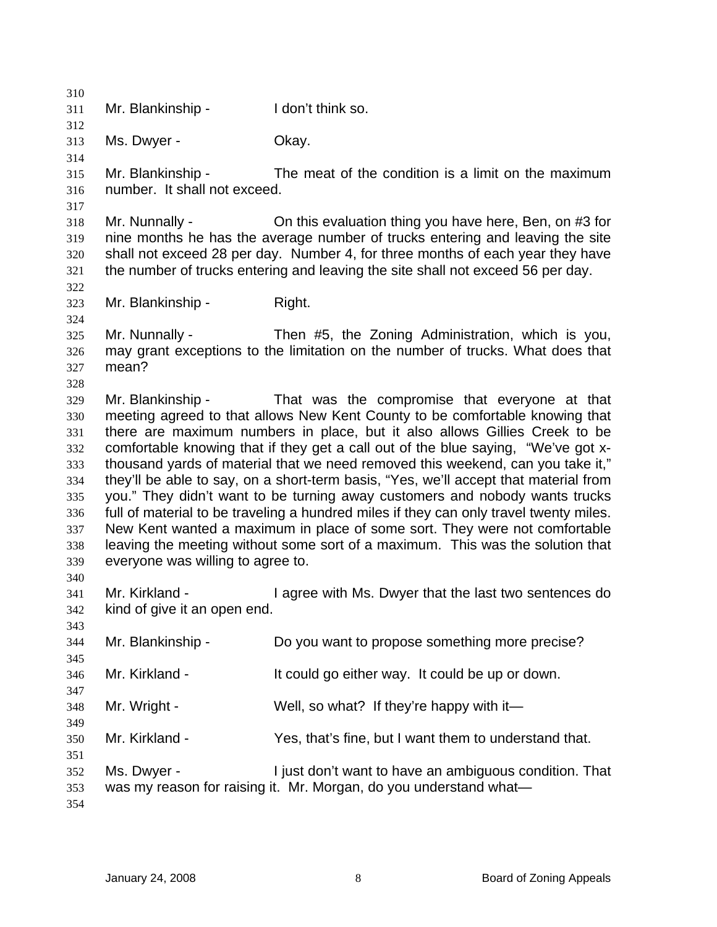310 311 312 313 314 315 316 317 318 319 320 321 322 323 324 325 326 327 328 329 330 331 332 333 334 335 336 337 338 339 340 341 342 343 344 345 346 347 348 349 350 351 352 353 354 Mr. Blankinship - The Unit think so. Ms. Dwyer - Chay. Mr. Blankinship - The meat of the condition is a limit on the maximum number. It shall not exceed. Mr. Nunnally - On this evaluation thing you have here, Ben, on #3 for nine months he has the average number of trucks entering and leaving the site shall not exceed 28 per day. Number 4, for three months of each year they have the number of trucks entering and leaving the site shall not exceed 56 per day. Mr. Blankinship - Right. Mr. Nunnally - Then #5, the Zoning Administration, which is you, may grant exceptions to the limitation on the number of trucks. What does that mean? Mr. Blankinship - That was the compromise that everyone at that meeting agreed to that allows New Kent County to be comfortable knowing that there are maximum numbers in place, but it also allows Gillies Creek to be comfortable knowing that if they get a call out of the blue saying, "We've got xthousand yards of material that we need removed this weekend, can you take it," they'll be able to say, on a short-term basis, "Yes, we'll accept that material from you." They didn't want to be turning away customers and nobody wants trucks full of material to be traveling a hundred miles if they can only travel twenty miles. New Kent wanted a maximum in place of some sort. They were not comfortable leaving the meeting without some sort of a maximum. This was the solution that everyone was willing to agree to. Mr. Kirkland - I agree with Ms. Dwyer that the last two sentences do kind of give it an open end. Mr. Blankinship - Do you want to propose something more precise? Mr. Kirkland - It could go either way. It could be up or down. Mr. Wright - Well, so what? If they're happy with it— Mr. Kirkland - Yes, that's fine, but I want them to understand that. Ms. Dwyer - I just don't want to have an ambiguous condition. That was my reason for raising it. Mr. Morgan, do you understand what—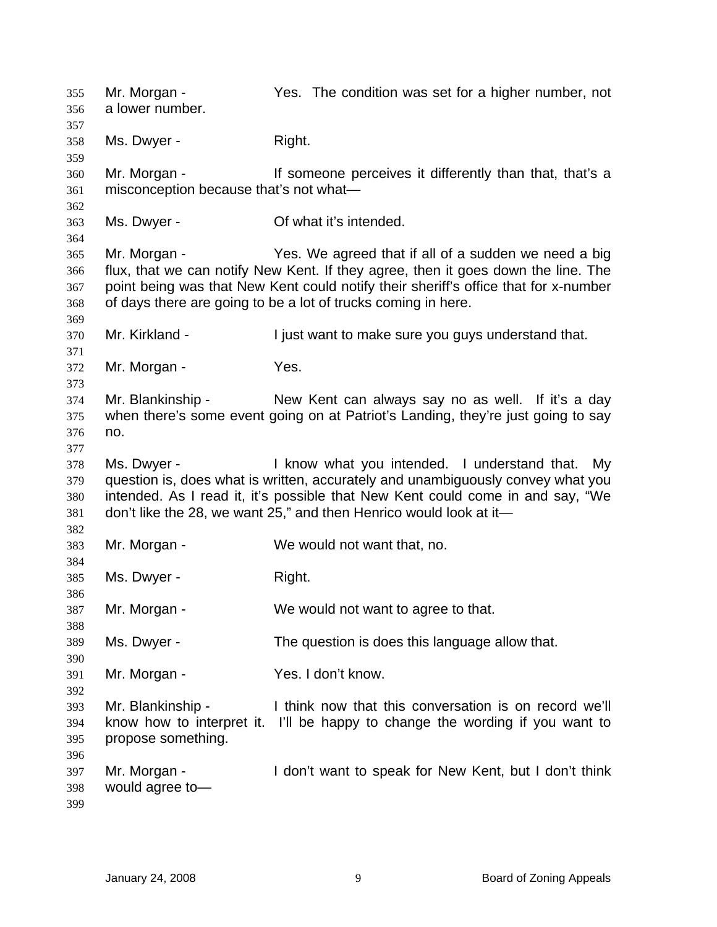Mr. Morgan - Yes. The condition was set for a higher number, not a lower number. 355 356 357 358 359 360 361 362 363 364 365 366 367 368 369 370 371 372 373 374 375 376 377 378 379 380 381 382 383 384 385 386 387 388 389 390 391 392 393 394 395 396 397 398 399 Ms. Dwyer - Right. Mr. Morgan - If someone perceives it differently than that, that's a misconception because that's not what— Ms. Dwyer - Communist Communist Communist Communist Communist Communist Communist Communist Communist Communist Communist Communist Communist Communist Communist Communist Communist Communist Communist Communist Communist Mr. Morgan - Yes. We agreed that if all of a sudden we need a big flux, that we can notify New Kent. If they agree, then it goes down the line. The point being was that New Kent could notify their sheriff's office that for x-number of days there are going to be a lot of trucks coming in here. Mr. Kirkland - I just want to make sure you guys understand that. Mr. Morgan - Yes. Mr. Blankinship - New Kent can always say no as well. If it's a day when there's some event going on at Patriot's Landing, they're just going to say no. Ms. Dwyer - The Music Chrow what you intended. I understand that. My question is, does what is written, accurately and unambiguously convey what you intended. As I read it, it's possible that New Kent could come in and say, "We don't like the 28, we want 25," and then Henrico would look at it— Mr. Morgan - We would not want that, no. Ms. Dwyer - Right. Mr. Morgan - We would not want to agree to that. Ms. Dwyer - The question is does this language allow that. Mr. Morgan - Yes. I don't know. Mr. Blankinship - I think now that this conversation is on record we'll know how to interpret it. I'll be happy to change the wording if you want to propose something. Mr. Morgan - I don't want to speak for New Kent, but I don't think would agree to—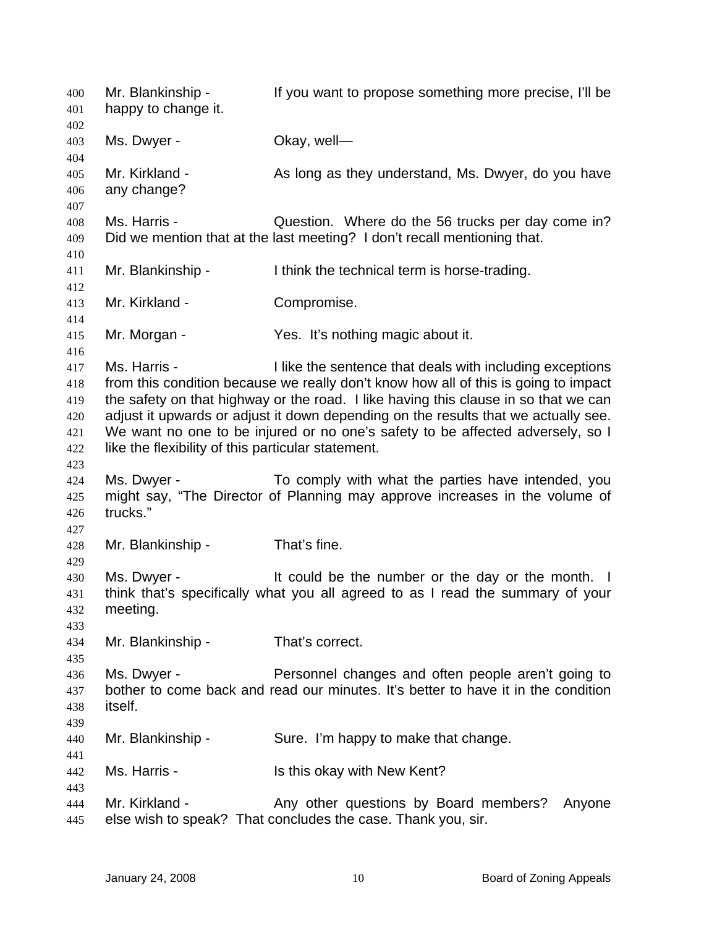Mr. Blankinship - The Munit of propose something more precise, I'll be happy to change it. 400 401 402 403 404 405 406 407 408 409 410 411 412 413 414 415 416 417 418 419 420 421 422 423 424 425 426 427 428 429 430 431 432 433 434 435 436 437 438 439 440 441 442 443 444 445 Ms. Dwyer - Ckay, well-Mr. Kirkland - As long as they understand, Ms. Dwyer, do you have any change? Ms. Harris - Question. Where do the 56 trucks per day come in? Did we mention that at the last meeting? I don't recall mentioning that. Mr. Blankinship - I think the technical term is horse-trading. Mr. Kirkland - Compromise. Mr. Morgan - Yes. It's nothing magic about it. Ms. Harris - I like the sentence that deals with including exceptions from this condition because we really don't know how all of this is going to impact the safety on that highway or the road. I like having this clause in so that we can adjust it upwards or adjust it down depending on the results that we actually see. We want no one to be injured or no one's safety to be affected adversely, so I like the flexibility of this particular statement. Ms. Dwyer - To comply with what the parties have intended, you might say, "The Director of Planning may approve increases in the volume of trucks." Mr. Blankinship - That's fine. Ms. Dwyer - The same is the could be the number or the day or the month. I think that's specifically what you all agreed to as I read the summary of your meeting. Mr. Blankinship - That's correct. Ms. Dwyer - Personnel changes and often people aren't going to bother to come back and read our minutes. It's better to have it in the condition itself. Mr. Blankinship - Sure. I'm happy to make that change. Ms. Harris - Is this okay with New Kent? Mr. Kirkland - The Any other questions by Board members? Anyone else wish to speak? That concludes the case. Thank you, sir.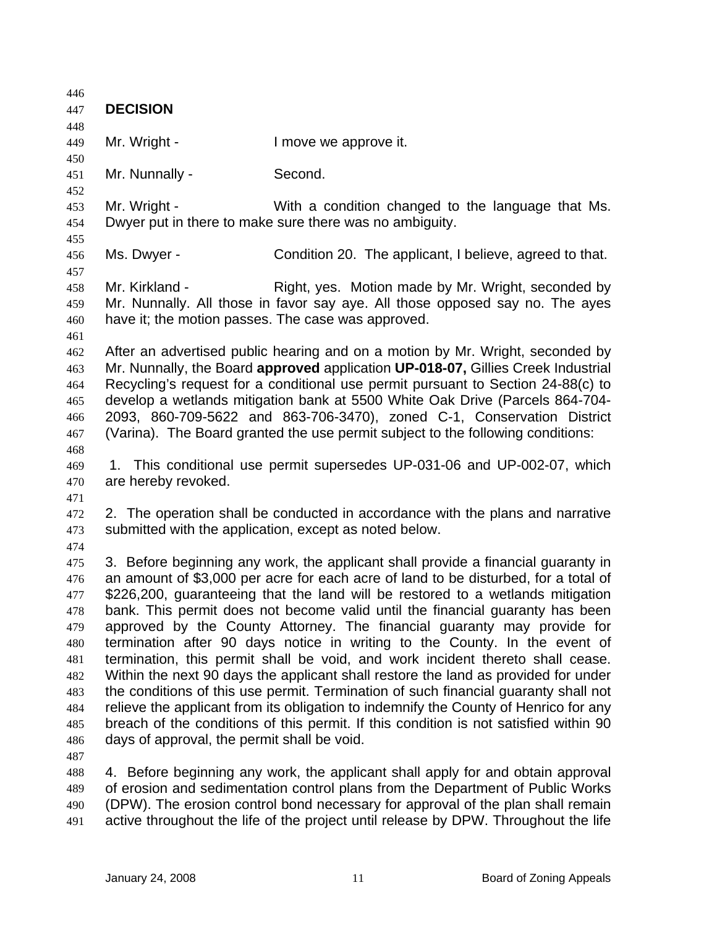| 446        |                                                                          |                                                                                                                                                          |  |
|------------|--------------------------------------------------------------------------|----------------------------------------------------------------------------------------------------------------------------------------------------------|--|
| 447        | <b>DECISION</b>                                                          |                                                                                                                                                          |  |
| 448        |                                                                          |                                                                                                                                                          |  |
| 449        | Mr. Wright -                                                             | I move we approve it.                                                                                                                                    |  |
| 450        |                                                                          |                                                                                                                                                          |  |
| 451        | Mr. Nunnally -                                                           | Second.                                                                                                                                                  |  |
| 452        |                                                                          |                                                                                                                                                          |  |
| 453        | Mr. Wright -                                                             | With a condition changed to the language that Ms.                                                                                                        |  |
| 454        |                                                                          | Dwyer put in there to make sure there was no ambiguity.                                                                                                  |  |
| 455        |                                                                          |                                                                                                                                                          |  |
| 456        | Ms. Dwyer -                                                              | Condition 20. The applicant, I believe, agreed to that.                                                                                                  |  |
| 457        |                                                                          |                                                                                                                                                          |  |
| 458        | Mr. Kirkland -                                                           | Right, yes. Motion made by Mr. Wright, seconded by                                                                                                       |  |
| 459        |                                                                          | Mr. Nunnally. All those in favor say aye. All those opposed say no. The ayes                                                                             |  |
| 460        | have it; the motion passes. The case was approved.                       |                                                                                                                                                          |  |
| 461        |                                                                          |                                                                                                                                                          |  |
| 462        |                                                                          | After an advertised public hearing and on a motion by Mr. Wright, seconded by                                                                            |  |
| 463        |                                                                          | Mr. Nunnally, the Board approved application UP-018-07, Gillies Creek Industrial                                                                         |  |
| 464        |                                                                          | Recycling's request for a conditional use permit pursuant to Section 24-88(c) to                                                                         |  |
| 465        |                                                                          | develop a wetlands mitigation bank at 5500 White Oak Drive (Parcels 864-704-                                                                             |  |
| 466        |                                                                          | 2093, 860-709-5622 and 863-706-3470), zoned C-1, Conservation District                                                                                   |  |
| 467        |                                                                          | (Varina). The Board granted the use permit subject to the following conditions:                                                                          |  |
| 468        |                                                                          |                                                                                                                                                          |  |
| 469        | 1. This conditional use permit supersedes UP-031-06 and UP-002-07, which |                                                                                                                                                          |  |
| 470        | are hereby revoked.                                                      |                                                                                                                                                          |  |
| 471        |                                                                          |                                                                                                                                                          |  |
| 472        |                                                                          | 2. The operation shall be conducted in accordance with the plans and narrative                                                                           |  |
| 473        |                                                                          | submitted with the application, except as noted below.                                                                                                   |  |
| 474        |                                                                          |                                                                                                                                                          |  |
| 475        |                                                                          | 3. Before beginning any work, the applicant shall provide a financial guaranty in                                                                        |  |
| 476        |                                                                          | an amount of \$3,000 per acre for each acre of land to be disturbed, for a total of                                                                      |  |
| 477        |                                                                          | \$226,200, guaranteeing that the land will be restored to a wetlands mitigation                                                                          |  |
| 478        |                                                                          | bank. This permit does not become valid until the financial guaranty has been<br>approved by the County Attorney. The financial guaranty may provide for |  |
| 479<br>480 |                                                                          | termination after 90 days notice in writing to the County. In the event of                                                                               |  |
|            |                                                                          | termination, this permit shall be void, and work incident thereto shall cease.                                                                           |  |
| 481<br>482 |                                                                          | Within the next 90 days the applicant shall restore the land as provided for under                                                                       |  |
|            |                                                                          | the conditions of this use permit. Termination of such financial guaranty shall not                                                                      |  |
| 483<br>484 |                                                                          | relieve the applicant from its obligation to indemnify the County of Henrico for any                                                                     |  |
| 485        |                                                                          | breach of the conditions of this permit. If this condition is not satisfied within 90                                                                    |  |
| 486        | days of approval, the permit shall be void.                              |                                                                                                                                                          |  |
| 487        |                                                                          |                                                                                                                                                          |  |
| 488        |                                                                          | 4. Before beginning any work, the applicant shall apply for and obtain approval                                                                          |  |
| 489        |                                                                          | of erosion and sedimentation control plans from the Department of Public Works                                                                           |  |

490 491 (DPW). The erosion control bond necessary for approval of the plan shall remain active throughout the life of the project until release by DPW. Throughout the life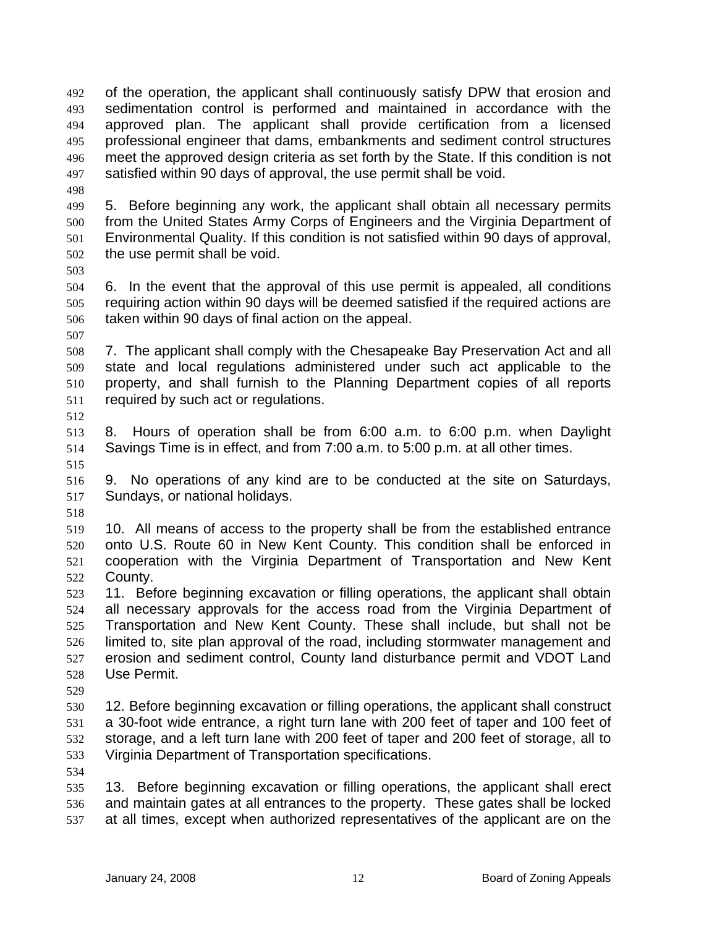of the operation, the applicant shall continuously satisfy DPW that erosion and sedimentation control is performed and maintained in accordance with the approved plan. The applicant shall provide certification from a licensed professional engineer that dams, embankments and sediment control structures meet the approved design criteria as set forth by the State. If this condition is not satisfied within 90 days of approval, the use permit shall be void. 492 493 494 495 496 497

498

499 500 501 502 5. Before beginning any work, the applicant shall obtain all necessary permits from the United States Army Corps of Engineers and the Virginia Department of Environmental Quality. If this condition is not satisfied within 90 days of approval, the use permit shall be void.

503

504 505 506 6. In the event that the approval of this use permit is appealed, all conditions requiring action within 90 days will be deemed satisfied if the required actions are taken within 90 days of final action on the appeal.

507

508 509 510 511 7. The applicant shall comply with the Chesapeake Bay Preservation Act and all state and local regulations administered under such act applicable to the property, and shall furnish to the Planning Department copies of all reports required by such act or regulations.

512

513 514 515 8. Hours of operation shall be from 6:00 a.m. to 6:00 p.m. when Daylight Savings Time is in effect, and from 7:00 a.m. to 5:00 p.m. at all other times.

516 517 9. No operations of any kind are to be conducted at the site on Saturdays, Sundays, or national holidays.

518

519 520 521 522 10. All means of access to the property shall be from the established entrance onto U.S. Route 60 in New Kent County. This condition shall be enforced in cooperation with the Virginia Department of Transportation and New Kent County.

523 524 525 526 527 528 11. Before beginning excavation or filling operations, the applicant shall obtain all necessary approvals for the access road from the Virginia Department of Transportation and New Kent County. These shall include, but shall not be limited to, site plan approval of the road, including stormwater management and erosion and sediment control, County land disturbance permit and VDOT Land Use Permit.

529

530 531 532 533 12. Before beginning excavation or filling operations, the applicant shall construct a 30-foot wide entrance, a right turn lane with 200 feet of taper and 100 feet of storage, and a left turn lane with 200 feet of taper and 200 feet of storage, all to Virginia Department of Transportation specifications.

534

535 536 537 13. Before beginning excavation or filling operations, the applicant shall erect and maintain gates at all entrances to the property. These gates shall be locked at all times, except when authorized representatives of the applicant are on the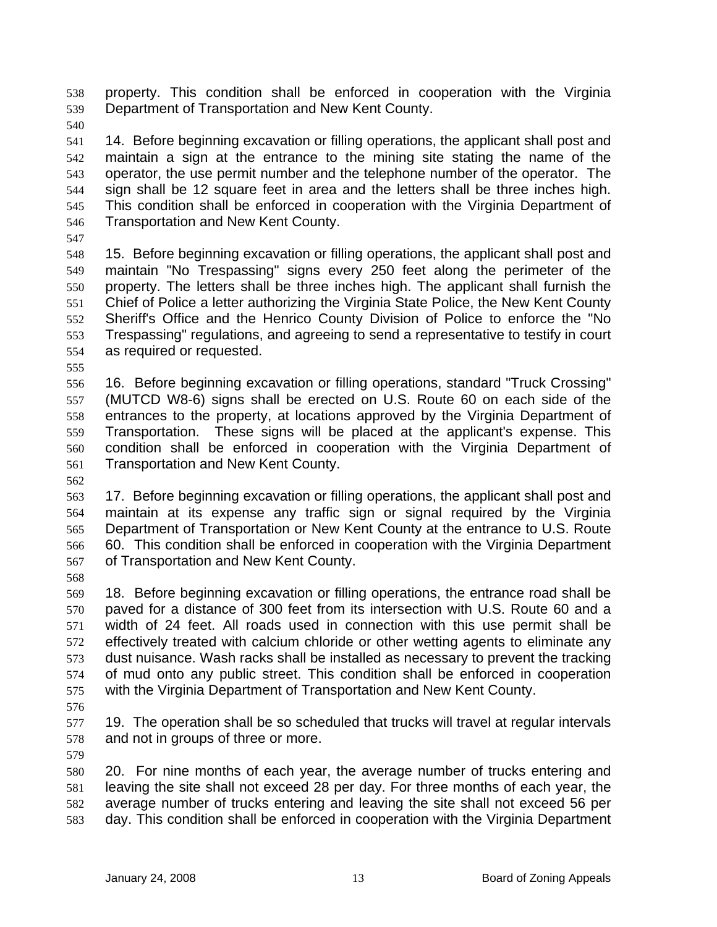property. This condition shall be enforced in cooperation with the Virginia Department of Transportation and New Kent County. 538 539

540

541 542 543 544 545 546 14. Before beginning excavation or filling operations, the applicant shall post and maintain a sign at the entrance to the mining site stating the name of the operator, the use permit number and the telephone number of the operator. The sign shall be 12 square feet in area and the letters shall be three inches high. This condition shall be enforced in cooperation with the Virginia Department of Transportation and New Kent County.

547

548 549 550 551 552 553 554 15. Before beginning excavation or filling operations, the applicant shall post and maintain "No Trespassing" signs every 250 feet along the perimeter of the property. The letters shall be three inches high. The applicant shall furnish the Chief of Police a letter authorizing the Virginia State Police, the New Kent County Sheriff's Office and the Henrico County Division of Police to enforce the "No Trespassing" regulations, and agreeing to send a representative to testify in court as required or requested.

555

556 557 558 559 560 561 16. Before beginning excavation or filling operations, standard "Truck Crossing" (MUTCD W8-6) signs shall be erected on U.S. Route 60 on each side of the entrances to the property, at locations approved by the Virginia Department of Transportation. These signs will be placed at the applicant's expense. This condition shall be enforced in cooperation with the Virginia Department of Transportation and New Kent County.

562

563 564 565 566 567 17. Before beginning excavation or filling operations, the applicant shall post and maintain at its expense any traffic sign or signal required by the Virginia Department of Transportation or New Kent County at the entrance to U.S. Route 60. This condition shall be enforced in cooperation with the Virginia Department of Transportation and New Kent County.

568

569 570 571 572 573 574 575 18. Before beginning excavation or filling operations, the entrance road shall be paved for a distance of 300 feet from its intersection with U.S. Route 60 and a width of 24 feet. All roads used in connection with this use permit shall be effectively treated with calcium chloride or other wetting agents to eliminate any dust nuisance. Wash racks shall be installed as necessary to prevent the tracking of mud onto any public street. This condition shall be enforced in cooperation with the Virginia Department of Transportation and New Kent County.

576

577 578 19. The operation shall be so scheduled that trucks will travel at regular intervals and not in groups of three or more.

579

580 581 582 583 20. For nine months of each year, the average number of trucks entering and leaving the site shall not exceed 28 per day. For three months of each year, the average number of trucks entering and leaving the site shall not exceed 56 per day. This condition shall be enforced in cooperation with the Virginia Department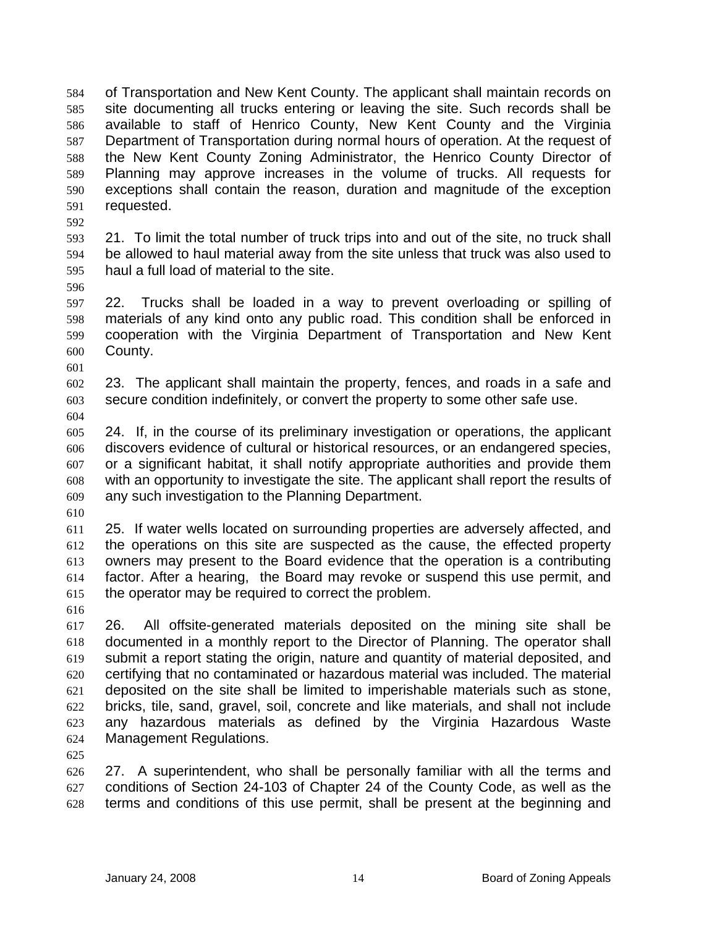of Transportation and New Kent County. The applicant shall maintain records on site documenting all trucks entering or leaving the site. Such records shall be available to staff of Henrico County, New Kent County and the Virginia Department of Transportation during normal hours of operation. At the request of the New Kent County Zoning Administrator, the Henrico County Director of Planning may approve increases in the volume of trucks. All requests for exceptions shall contain the reason, duration and magnitude of the exception requested. 584 585 586 587 588 589 590 591

- 592
- 593 594 595 21. To limit the total number of truck trips into and out of the site, no truck shall be allowed to haul material away from the site unless that truck was also used to haul a full load of material to the site.
- 596

597 598 599 600 22. Trucks shall be loaded in a way to prevent overloading or spilling of materials of any kind onto any public road. This condition shall be enforced in cooperation with the Virginia Department of Transportation and New Kent County.

602 603 23. The applicant shall maintain the property, fences, and roads in a safe and secure condition indefinitely, or convert the property to some other safe use.

604

601

605 606 607 608 609 24. If, in the course of its preliminary investigation or operations, the applicant discovers evidence of cultural or historical resources, or an endangered species, or a significant habitat, it shall notify appropriate authorities and provide them with an opportunity to investigate the site. The applicant shall report the results of any such investigation to the Planning Department.

610

611 612 613 614 615 25. If water wells located on surrounding properties are adversely affected, and the operations on this site are suspected as the cause, the effected property owners may present to the Board evidence that the operation is a contributing factor. After a hearing, the Board may revoke or suspend this use permit, and the operator may be required to correct the problem.

616

617 618 619 620 621 622 623 624 26. All offsite-generated materials deposited on the mining site shall be documented in a monthly report to the Director of Planning. The operator shall submit a report stating the origin, nature and quantity of material deposited, and certifying that no contaminated or hazardous material was included. The material deposited on the site shall be limited to imperishable materials such as stone, bricks, tile, sand, gravel, soil, concrete and like materials, and shall not include any hazardous materials as defined by the Virginia Hazardous Waste Management Regulations.

625

626 627 628 27. A superintendent, who shall be personally familiar with all the terms and conditions of Section 24-103 of Chapter 24 of the County Code, as well as the terms and conditions of this use permit, shall be present at the beginning and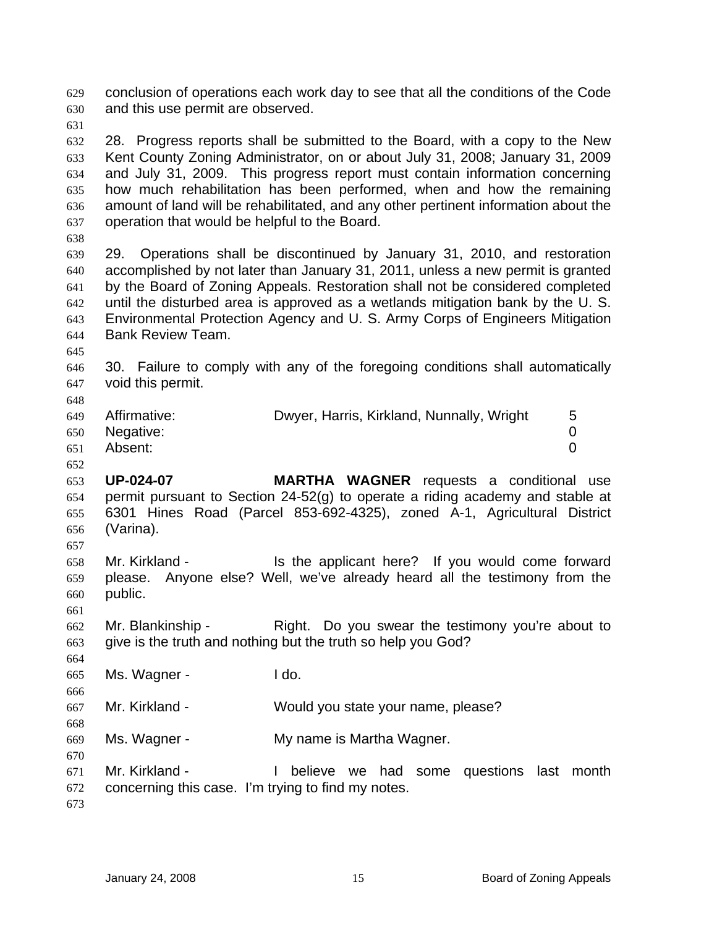conclusion of operations each work day to see that all the conditions of the Code and this use permit are observed. 629 630 631 632 633 634 635 636 637 638 639 640 641 642 643 644 645 646 647 648 649 650 651 652 653 654 655 656 657 658 659 660 661 662 663 664 665 666 667 668 669 670 671 672 673 28. Progress reports shall be submitted to the Board, with a copy to the New Kent County Zoning Administrator, on or about July 31, 2008; January 31, 2009 and July 31, 2009. This progress report must contain information concerning how much rehabilitation has been performed, when and how the remaining amount of land will be rehabilitated, and any other pertinent information about the operation that would be helpful to the Board. 29. Operations shall be discontinued by January 31, 2010, and restoration accomplished by not later than January 31, 2011, unless a new permit is granted by the Board of Zoning Appeals. Restoration shall not be considered completed until the disturbed area is approved as a wetlands mitigation bank by the U. S. Environmental Protection Agency and U. S. Army Corps of Engineers Mitigation Bank Review Team. 30. Failure to comply with any of the foregoing conditions shall automatically void this permit. Affirmative: **Dwyer, Harris, Kirkland, Nunnally, Wright** 5 Negative: 0 Absent: 0 **UP-024-07 MARTHA WAGNER** requests a conditional use permit pursuant to Section 24-52(g) to operate a riding academy and stable at 6301 Hines Road (Parcel 853-692-4325), zoned A-1, Agricultural District (Varina). Mr. Kirkland - Is the applicant here? If you would come forward please. Anyone else? Well, we've already heard all the testimony from the public. Mr. Blankinship - Right. Do you swear the testimony you're about to give is the truth and nothing but the truth so help you God? Ms. Wagner - The United States and I do. Mr. Kirkland - Would you state your name, please? Ms. Wagner - The My name is Martha Wagner. Mr. Kirkland - Thelieve we had some questions last month concerning this case. I'm trying to find my notes.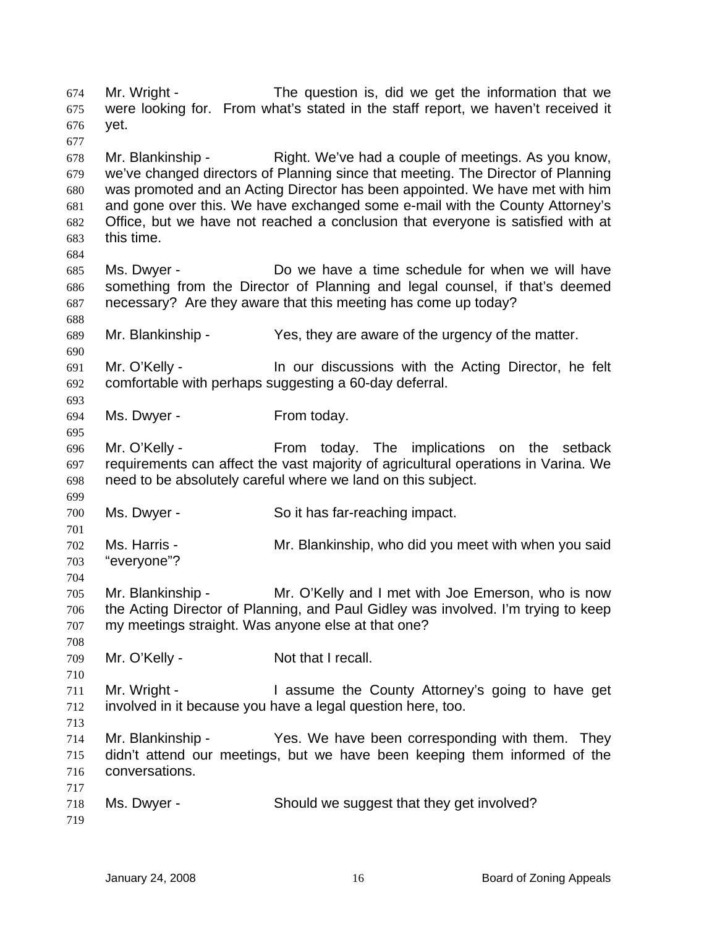Mr. Wright - The question is, did we get the information that we were looking for. From what's stated in the staff report, we haven't received it yet. 674 675 676 677 678 679 680 681 682 683 684 685 686 687 688 689 690 691 692 693 694 695 696 697 698 699 700 701 702 703 704 705 706 707 708 709 710 711 712 713 714 715 716 717 718 719 Mr. Blankinship - Right. We've had a couple of meetings. As you know, we've changed directors of Planning since that meeting. The Director of Planning was promoted and an Acting Director has been appointed. We have met with him and gone over this. We have exchanged some e-mail with the County Attorney's Office, but we have not reached a conclusion that everyone is satisfied with at this time. Ms. Dwyer - The Do we have a time schedule for when we will have something from the Director of Planning and legal counsel, if that's deemed necessary? Are they aware that this meeting has come up today? Mr. Blankinship - Yes, they are aware of the urgency of the matter. Mr. O'Kelly - In our discussions with the Acting Director, he felt comfortable with perhaps suggesting a 60-day deferral. Ms. Dwyer - From today. Mr. O'Kelly - From today. The implications on the setback requirements can affect the vast majority of agricultural operations in Varina. We need to be absolutely careful where we land on this subject. Ms. Dwyer - So it has far-reaching impact. Ms. Harris - The Mr. Blankinship, who did you meet with when you said "everyone"? Mr. Blankinship - Mr. O'Kelly and I met with Joe Emerson, who is now the Acting Director of Planning, and Paul Gidley was involved. I'm trying to keep my meetings straight. Was anyone else at that one? Mr. O'Kelly - Not that I recall. Mr. Wright - I assume the County Attorney's going to have get involved in it because you have a legal question here, too. Mr. Blankinship - Yes. We have been corresponding with them. They didn't attend our meetings, but we have been keeping them informed of the conversations. Ms. Dwyer - Should we suggest that they get involved?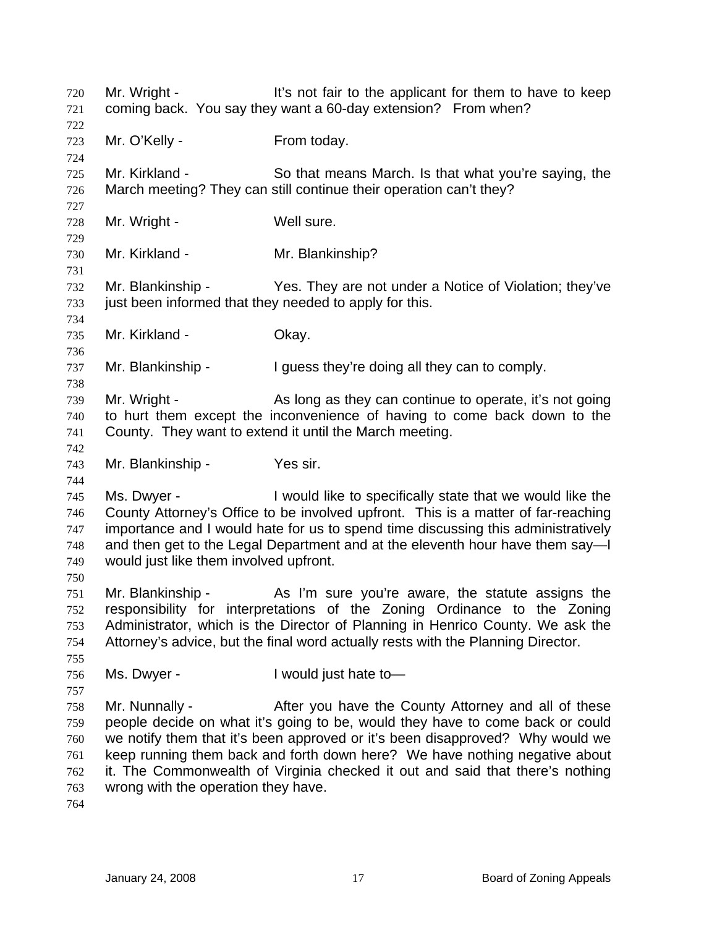Mr. Wright - It's not fair to the applicant for them to have to keep coming back. You say they want a 60-day extension? From when? 720 721 722 723 724 725 726 727 728 729 730 731 732 733 734 735 736 737 738 739 740 741 742 743 744 745 746 747 748 749 750 751 752 753 754 755 756 757 758 759 760 761 762 763 764 Mr. O'Kelly - From today. Mr. Kirkland - So that means March. Is that what you're saying, the March meeting? They can still continue their operation can't they? Mr. Wright - Well sure. Mr. Kirkland - **Mr. Blankinship?** Mr. Blankinship - Yes. They are not under a Notice of Violation; they've just been informed that they needed to apply for this. Mr. Kirkland - **Okay.** Mr. Blankinship - I guess they're doing all they can to comply. Mr. Wright - As long as they can continue to operate, it's not going to hurt them except the inconvenience of having to come back down to the County. They want to extend it until the March meeting. Mr. Blankinship - Yes sir. Ms. Dwyer - I would like to specifically state that we would like the County Attorney's Office to be involved upfront. This is a matter of far-reaching importance and I would hate for us to spend time discussing this administratively and then get to the Legal Department and at the eleventh hour have them say—I would just like them involved upfront. Mr. Blankinship - The As I'm sure you're aware, the statute assigns the responsibility for interpretations of the Zoning Ordinance to the Zoning Administrator, which is the Director of Planning in Henrico County. We ask the Attorney's advice, but the final word actually rests with the Planning Director. Ms. Dwyer - Twould just hate to-Mr. Nunnally - **After you have the County Attorney and all of these** people decide on what it's going to be, would they have to come back or could we notify them that it's been approved or it's been disapproved? Why would we keep running them back and forth down here? We have nothing negative about it. The Commonwealth of Virginia checked it out and said that there's nothing wrong with the operation they have.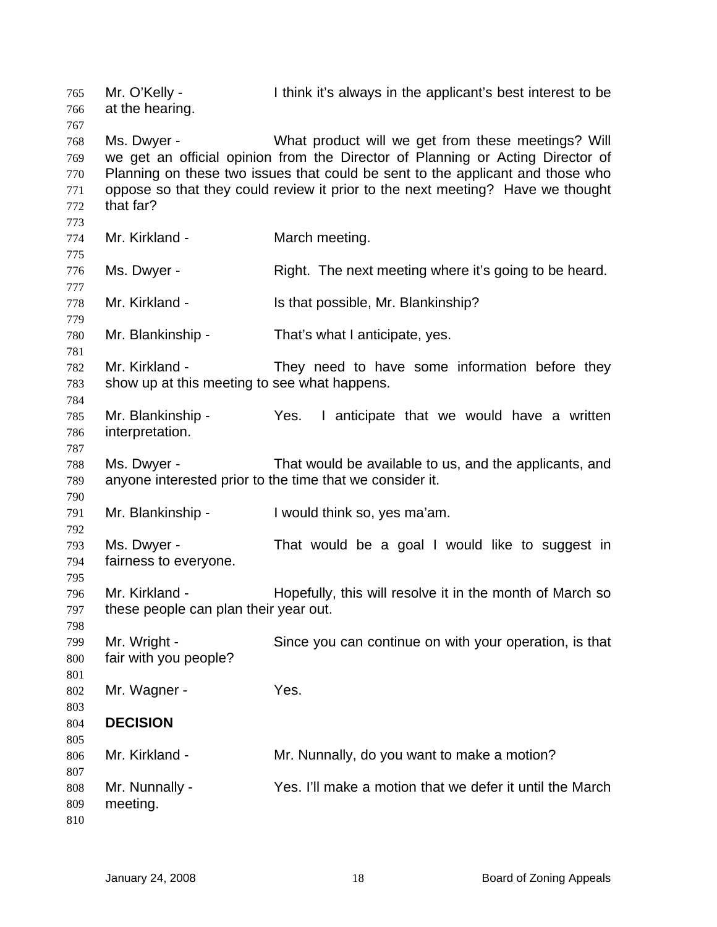Mr. O'Kelly - I think it's always in the applicant's best interest to be at the hearing. Ms. Dwyer - What product will we get from these meetings? Will we get an official opinion from the Director of Planning or Acting Director of Planning on these two issues that could be sent to the applicant and those who oppose so that they could review it prior to the next meeting? Have we thought that far? Mr. Kirkland - March meeting. Ms. Dwyer - Right. The next meeting where it's going to be heard. Mr. Kirkland - Is that possible, Mr. Blankinship? Mr. Blankinship - That's what I anticipate, yes. Mr. Kirkland - They need to have some information before they show up at this meeting to see what happens. Mr. Blankinship - Yes. I anticipate that we would have a written interpretation. Ms. Dwyer - That would be available to us, and the applicants, and anyone interested prior to the time that we consider it. Mr. Blankinship - I would think so, yes ma'am. Ms. Dwyer - That would be a goal I would like to suggest in fairness to everyone. Mr. Kirkland - Hopefully, this will resolve it in the month of March so these people can plan their year out. Mr. Wright - Since you can continue on with your operation, is that fair with you people? Mr. Wagner - Yes. **DECISION**  Mr. Kirkland - Mr. Nunnally, do you want to make a motion? Mr. Nunnally - Yes. I'll make a motion that we defer it until the March meeting.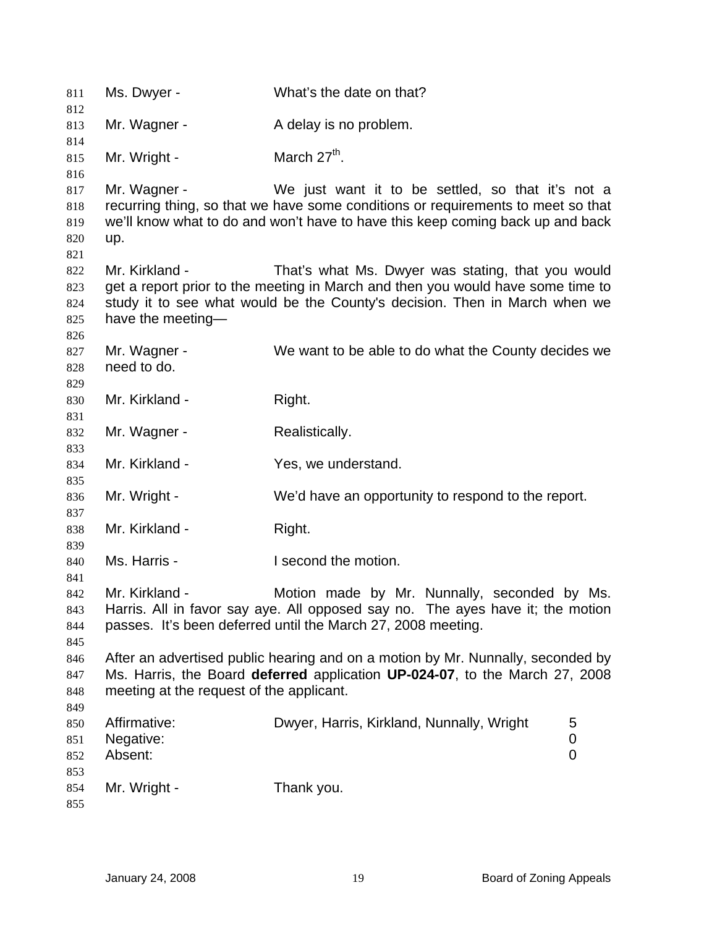| 811        | Ms. Dwyer -                              | What's the date on that?                                                         |   |
|------------|------------------------------------------|----------------------------------------------------------------------------------|---|
| 812<br>813 | Mr. Wagner -                             | A delay is no problem.                                                           |   |
| 814        |                                          |                                                                                  |   |
| 815        | Mr. Wright -                             | March $27th$ .                                                                   |   |
| 816        |                                          |                                                                                  |   |
| 817        | Mr. Wagner -                             | We just want it to be settled, so that it's not a                                |   |
| 818        |                                          | recurring thing, so that we have some conditions or requirements to meet so that |   |
| 819        |                                          | we'll know what to do and won't have to have this keep coming back up and back   |   |
| 820<br>821 | up.                                      |                                                                                  |   |
| 822        | Mr. Kirkland -                           | That's what Ms. Dwyer was stating, that you would                                |   |
| 823        |                                          | get a report prior to the meeting in March and then you would have some time to  |   |
| 824        |                                          | study it to see what would be the County's decision. Then in March when we       |   |
| 825        | have the meeting-                        |                                                                                  |   |
| 826        |                                          |                                                                                  |   |
| 827        | Mr. Wagner -                             | We want to be able to do what the County decides we                              |   |
| 828        | need to do.                              |                                                                                  |   |
| 829        |                                          |                                                                                  |   |
| 830        | Mr. Kirkland -                           | Right.                                                                           |   |
| 831        |                                          |                                                                                  |   |
| 832        | Mr. Wagner -                             | Realistically.                                                                   |   |
| 833        |                                          |                                                                                  |   |
| 834        | Mr. Kirkland -                           | Yes, we understand.                                                              |   |
| 835        |                                          |                                                                                  |   |
| 836        | Mr. Wright -                             | We'd have an opportunity to respond to the report.                               |   |
| 837        |                                          |                                                                                  |   |
| 838        | Mr. Kirkland -                           | Right.                                                                           |   |
| 839        | Ms. Harris -                             | I second the motion.                                                             |   |
| 840        |                                          |                                                                                  |   |
| 841<br>842 | Mr. Kirkland -                           | Motion made by Mr. Nunnally, seconded by Ms.                                     |   |
| 843        |                                          | Harris. All in favor say aye. All opposed say no. The ayes have it; the motion   |   |
| 844        |                                          | passes. It's been deferred until the March 27, 2008 meeting.                     |   |
| 845        |                                          |                                                                                  |   |
| 846        |                                          | After an advertised public hearing and on a motion by Mr. Nunnally, seconded by  |   |
| 847        |                                          | Ms. Harris, the Board deferred application UP-024-07, to the March 27, 2008      |   |
| 848        | meeting at the request of the applicant. |                                                                                  |   |
| 849        |                                          |                                                                                  |   |
| 850        | Affirmative:                             | Dwyer, Harris, Kirkland, Nunnally, Wright                                        | 5 |
| 851        | Negative:                                |                                                                                  | 0 |
| 852        | Absent:                                  |                                                                                  | 0 |
| 853        |                                          |                                                                                  |   |
| 854        | Mr. Wright -                             | Thank you.                                                                       |   |
| 855        |                                          |                                                                                  |   |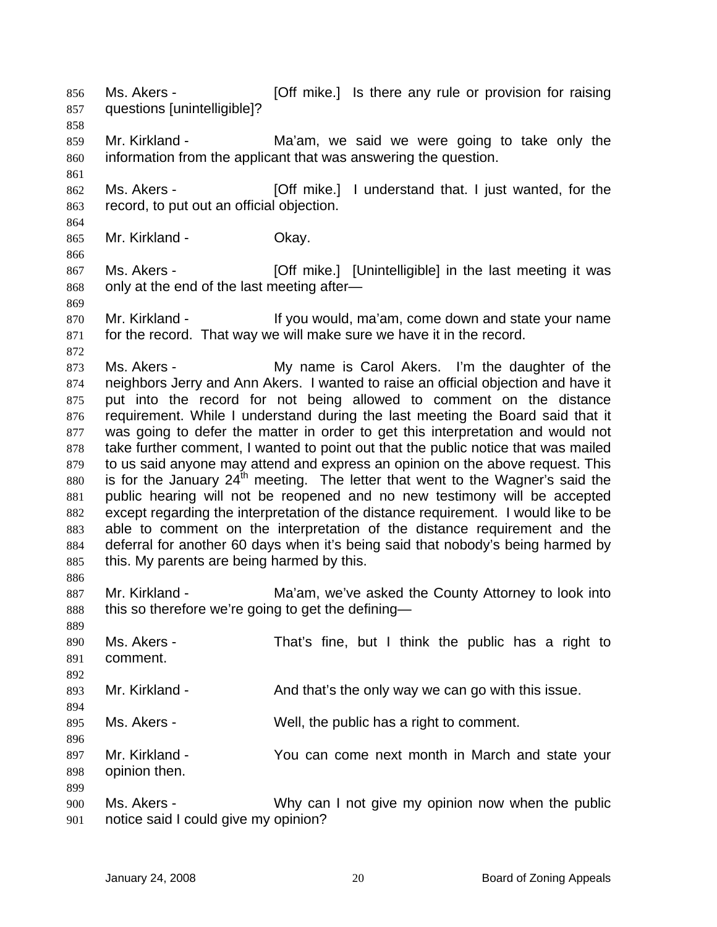Ms. Akers - [Off mike.] Is there any rule or provision for raising questions [unintelligible]? 856 857 858 859 860 861 862 863 864 865 866 867 868 869 870 871 872 873 874 875 876 877 878 879 880 881 882 883 884 885 886 887 888 889 890 891 892 893 894 895 896 897 898 899 900 901 Mr. Kirkland - The Ma'am, we said we were going to take only the information from the applicant that was answering the question. Ms. Akers - **Example 2** [Off mike.] I understand that. I just wanted, for the record, to put out an official objection. Mr. Kirkland - **Okay.** Ms. Akers - [Off mike.] [Unintelligible] in the last meeting it was only at the end of the last meeting after— Mr. Kirkland - If you would, ma'am, come down and state your name for the record. That way we will make sure we have it in the record. Ms. Akers - My name is Carol Akers. I'm the daughter of the neighbors Jerry and Ann Akers. I wanted to raise an official objection and have it put into the record for not being allowed to comment on the distance requirement. While I understand during the last meeting the Board said that it was going to defer the matter in order to get this interpretation and would not take further comment, I wanted to point out that the public notice that was mailed to us said anyone may attend and express an opinion on the above request. This is for the January  $24<sup>th</sup>$  meeting. The letter that went to the Wagner's said the public hearing will not be reopened and no new testimony will be accepted except regarding the interpretation of the distance requirement. I would like to be able to comment on the interpretation of the distance requirement and the deferral for another 60 days when it's being said that nobody's being harmed by this. My parents are being harmed by this. Mr. Kirkland - Ma'am, we've asked the County Attorney to look into this so therefore we're going to get the defining— Ms. Akers - That's fine, but I think the public has a right to comment. Mr. Kirkland - **And that's the only way we can go with this issue.** Ms. Akers - Well, the public has a right to comment. Mr. Kirkland - You can come next month in March and state your opinion then. Ms. Akers - Why can I not give my opinion now when the public notice said I could give my opinion?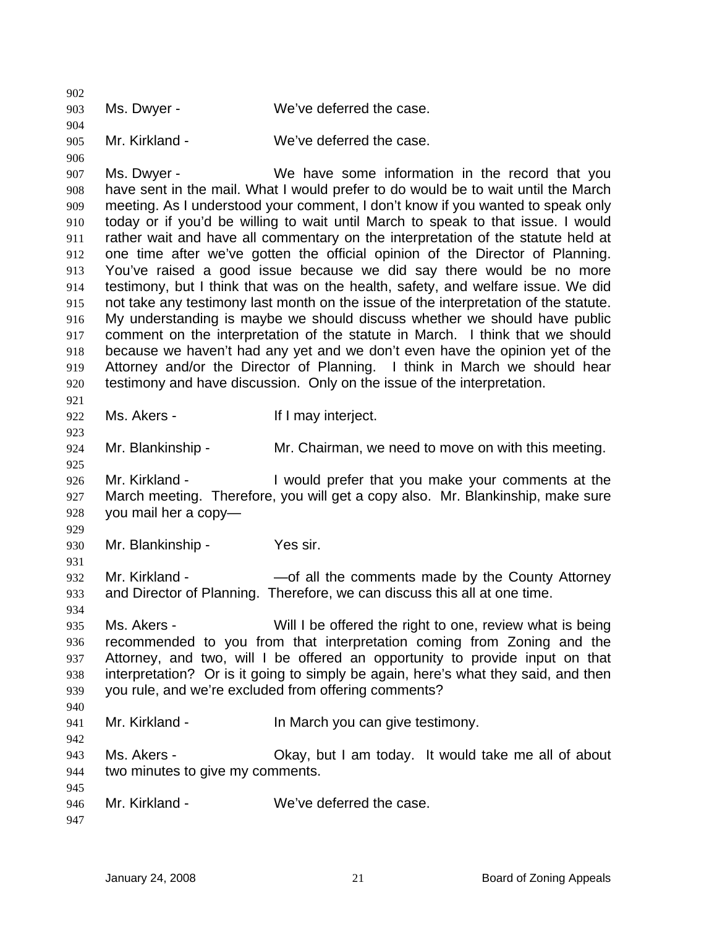902 903 904 905 906 907 908 909 910 911 912 913 914 915 916 917 918 919 920 921 922 923 924 925 926 927 928 929 930 931 932 933 934 935 936 937 938 939 940 941 942 943 944 945 946 947 Ms. Dwyer - We've deferred the case. Mr. Kirkland - We've deferred the case. Ms. Dwyer - We have some information in the record that you have sent in the mail. What I would prefer to do would be to wait until the March meeting. As I understood your comment, I don't know if you wanted to speak only today or if you'd be willing to wait until March to speak to that issue. I would rather wait and have all commentary on the interpretation of the statute held at one time after we've gotten the official opinion of the Director of Planning. You've raised a good issue because we did say there would be no more testimony, but I think that was on the health, safety, and welfare issue. We did not take any testimony last month on the issue of the interpretation of the statute. My understanding is maybe we should discuss whether we should have public comment on the interpretation of the statute in March. I think that we should because we haven't had any yet and we don't even have the opinion yet of the Attorney and/or the Director of Planning. I think in March we should hear testimony and have discussion. Only on the issue of the interpretation. Ms. Akers - The Music of I may interject. Mr. Blankinship - Mr. Chairman, we need to move on with this meeting. Mr. Kirkland - I would prefer that you make your comments at the March meeting. Therefore, you will get a copy also. Mr. Blankinship, make sure you mail her a copy— Mr. Blankinship - Yes sir. Mr. Kirkland - The Solid He comments made by the County Attorney and Director of Planning. Therefore, we can discuss this all at one time. Ms. Akers - Will I be offered the right to one, review what is being recommended to you from that interpretation coming from Zoning and the Attorney, and two, will I be offered an opportunity to provide input on that interpretation? Or is it going to simply be again, here's what they said, and then you rule, and we're excluded from offering comments? Mr. Kirkland - In March you can give testimony. Ms. Akers - Chay, but I am today. It would take me all of about two minutes to give my comments. Mr. Kirkland - We've deferred the case.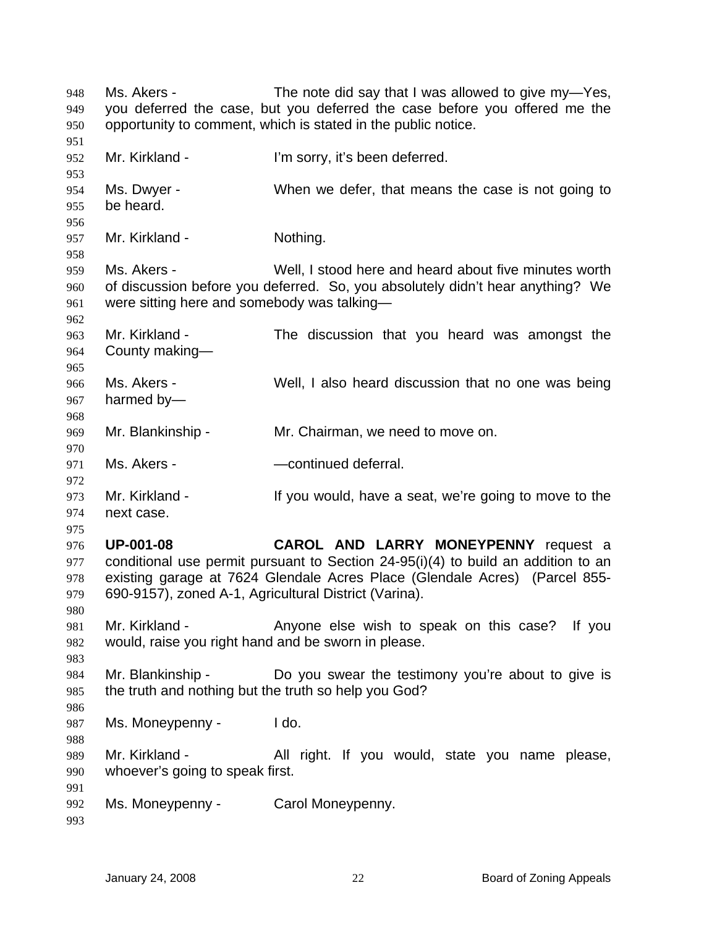Ms. Akers - The note did say that I was allowed to give my-Yes, you deferred the case, but you deferred the case before you offered me the opportunity to comment, which is stated in the public notice. 948 949 950 951 952 953 954 955 956 957 958 959 960 961 962 963 964 965 966 967 968 969 970 971 972 973 974 975 976 977 978 979 980 981 982 983 984 985 986 987 988 989 990 991 992 993 Mr. Kirkland - I'm sorry, it's been deferred. Ms. Dwyer - When we defer, that means the case is not going to be heard. Mr. Kirkland - Nothing. Ms. Akers - Well, I stood here and heard about five minutes worth of discussion before you deferred. So, you absolutely didn't hear anything? We were sitting here and somebody was talking— Mr. Kirkland - The discussion that you heard was amongst the County making— Ms. Akers - Well, I also heard discussion that no one was being harmed by— Mr. Blankinship - Mr. Chairman, we need to move on. Ms. Akers - The Continued deferral. Mr. Kirkland - If you would, have a seat, we're going to move to the next case. **UP-001-08 CAROL AND LARRY MONEYPENNY** request a conditional use permit pursuant to Section 24-95(i)(4) to build an addition to an existing garage at 7624 Glendale Acres Place (Glendale Acres) (Parcel 855- 690-9157), zoned A-1, Agricultural District (Varina). Mr. Kirkland - The Anyone else wish to speak on this case? If you would, raise you right hand and be sworn in please. Mr. Blankinship - Do you swear the testimony you're about to give is the truth and nothing but the truth so help you God? Ms. Moneypenny - I do. Mr. Kirkland - The All right. If you would, state you name please, whoever's going to speak first. Ms. Moneypenny - Carol Moneypenny.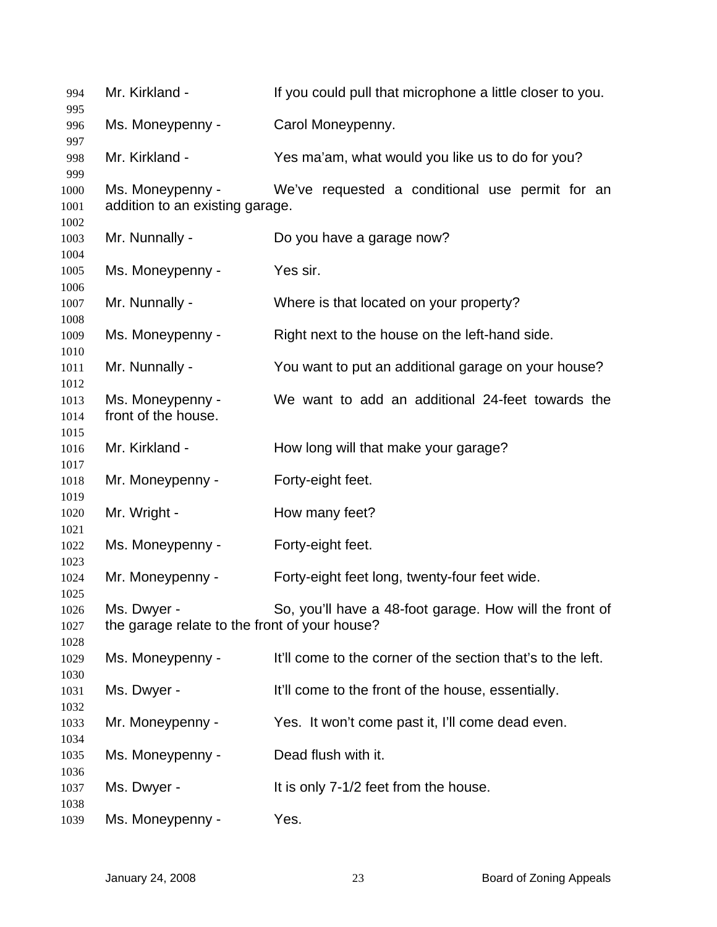| 994                  | Mr. Kirkland -                                               | If you could pull that microphone a little closer to you.   |  |  |
|----------------------|--------------------------------------------------------------|-------------------------------------------------------------|--|--|
| 995<br>996           | Ms. Moneypenny -                                             | Carol Moneypenny.                                           |  |  |
| 997<br>998           | Mr. Kirkland -                                               | Yes ma'am, what would you like us to do for you?            |  |  |
| 999<br>1000<br>1001  | Ms. Moneypenny -<br>addition to an existing garage.          | We've requested a conditional use permit for an             |  |  |
| 1002<br>1003         | Mr. Nunnally -                                               | Do you have a garage now?                                   |  |  |
| 1004<br>1005         | Ms. Moneypenny -                                             | Yes sir.                                                    |  |  |
| 1006<br>1007         | Mr. Nunnally -                                               | Where is that located on your property?                     |  |  |
| 1008<br>1009         | Ms. Moneypenny -                                             | Right next to the house on the left-hand side.              |  |  |
| 1010<br>1011         | Mr. Nunnally -                                               | You want to put an additional garage on your house?         |  |  |
| 1012<br>1013<br>1014 | Ms. Moneypenny -<br>front of the house.                      | We want to add an additional 24-feet towards the            |  |  |
| 1015<br>1016         | Mr. Kirkland -                                               | How long will that make your garage?                        |  |  |
| 1017<br>1018         | Mr. Moneypenny -                                             | Forty-eight feet.                                           |  |  |
| 1019<br>1020         | Mr. Wright -                                                 | How many feet?                                              |  |  |
| 1021<br>1022         | Ms. Moneypenny -                                             | Forty-eight feet.                                           |  |  |
| 1023<br>1024         | Mr. Moneypenny -                                             | Forty-eight feet long, twenty-four feet wide.               |  |  |
| 1025<br>1026<br>1027 | Ms. Dwyer -<br>the garage relate to the front of your house? | So, you'll have a 48-foot garage. How will the front of     |  |  |
| 1028<br>1029         | Ms. Moneypenny -                                             | It'll come to the corner of the section that's to the left. |  |  |
| 1030<br>1031         | Ms. Dwyer -                                                  | It'll come to the front of the house, essentially.          |  |  |
| 1032<br>1033         | Mr. Moneypenny -                                             | Yes. It won't come past it, I'll come dead even.            |  |  |
| 1034<br>1035         | Ms. Moneypenny -                                             | Dead flush with it.                                         |  |  |
| 1036<br>1037         | Ms. Dwyer -                                                  | It is only 7-1/2 feet from the house.                       |  |  |
| 1038<br>1039         | Ms. Moneypenny -                                             | Yes.                                                        |  |  |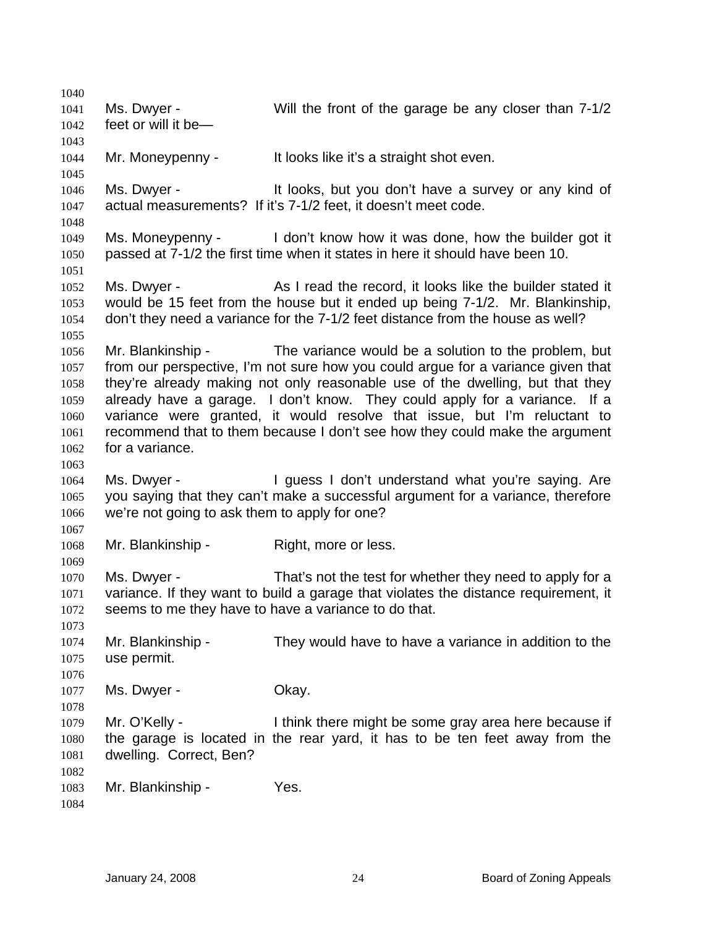1040 1041 1042 1043 1044 1045 1046 1047 1048 1049 1050 1051 1052 1053 1054 1055 1056 1057 1058 1059 1060 1061 1062 1063 1064 1065 1066 1067 1068 1069 1070 1071 1072 1073 1074 1075 1076 1077 1078 1079 1080 1081 1082 1083 1084 Ms. Dwyer - Will the front of the garage be any closer than 7-1/2 feet or will it be— Mr. Moneypenny - It looks like it's a straight shot even. Ms. Dwyer - The looks, but you don't have a survey or any kind of actual measurements? If it's 7-1/2 feet, it doesn't meet code. Ms. Moneypenny - I don't know how it was done, how the builder got it passed at 7-1/2 the first time when it states in here it should have been 10. Ms. Dwyer - As I read the record, it looks like the builder stated it would be 15 feet from the house but it ended up being 7-1/2. Mr. Blankinship, don't they need a variance for the 7-1/2 feet distance from the house as well? Mr. Blankinship - The variance would be a solution to the problem, but from our perspective, I'm not sure how you could argue for a variance given that they're already making not only reasonable use of the dwelling, but that they already have a garage. I don't know. They could apply for a variance. If a variance were granted, it would resolve that issue, but I'm reluctant to recommend that to them because I don't see how they could make the argument for a variance. Ms. Dwyer - I guess I don't understand what you're saying. Are you saying that they can't make a successful argument for a variance, therefore we're not going to ask them to apply for one? Mr. Blankinship - Right, more or less. Ms. Dwyer - That's not the test for whether they need to apply for a variance. If they want to build a garage that violates the distance requirement, it seems to me they have to have a variance to do that. Mr. Blankinship - They would have to have a variance in addition to the use permit. Ms. Dwyer - Chay. Mr. O'Kelly - Think there might be some gray area here because if the garage is located in the rear yard, it has to be ten feet away from the dwelling. Correct, Ben? Mr. Blankinship - Yes.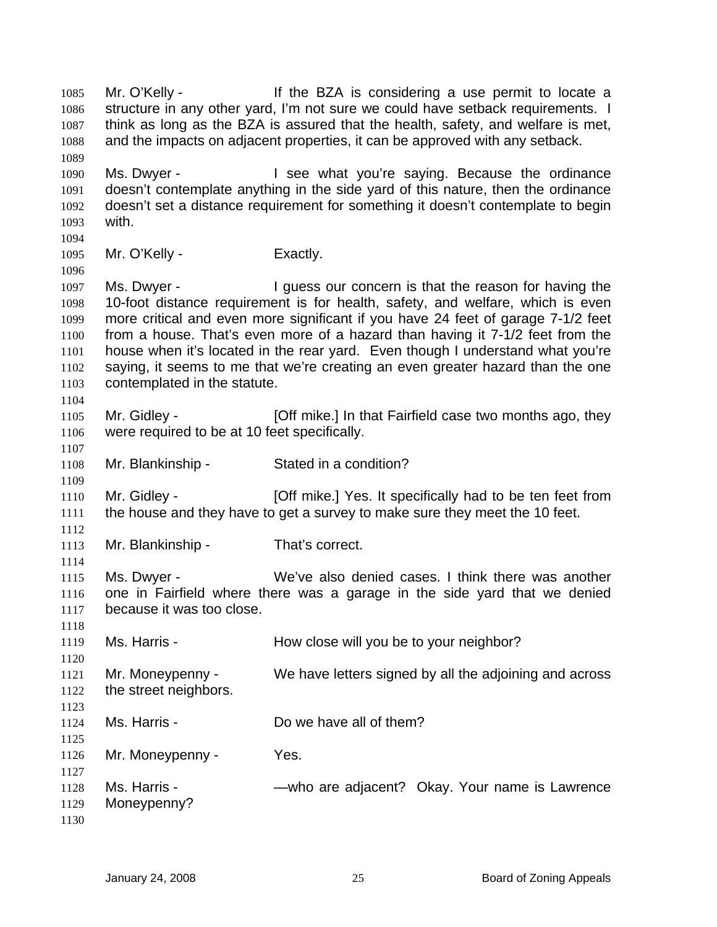Mr. O'Kelly - If the BZA is considering a use permit to locate a structure in any other yard, I'm not sure we could have setback requirements. I think as long as the BZA is assured that the health, safety, and welfare is met, and the impacts on adjacent properties, it can be approved with any setback. 1085 1086 1087 1088 1089 1090 1091 1092 1093 1094 1095 1096 1097 1098 1099 1100 1101 1102 1103 1104 1105 1106 1107 1108 1109 1110 1111 1112 1113 1114 1115 1116 1117 1118 1119 1120 1121 1122 1123 1124 1125 1126 1127 1128 1129 1130 Ms. Dwyer - The State what you're saying. Because the ordinance doesn't contemplate anything in the side yard of this nature, then the ordinance doesn't set a distance requirement for something it doesn't contemplate to begin with. Mr. O'Kelly - Exactly. Ms. Dwyer - I guess our concern is that the reason for having the 10-foot distance requirement is for health, safety, and welfare, which is even more critical and even more significant if you have 24 feet of garage 7-1/2 feet from a house. That's even more of a hazard than having it 7-1/2 feet from the house when it's located in the rear yard. Even though I understand what you're saying, it seems to me that we're creating an even greater hazard than the one contemplated in the statute. Mr. Gidley - **[Off mike.]** In that Fairfield case two months ago, they were required to be at 10 feet specifically. Mr. Blankinship - Stated in a condition? Mr. Gidley - [Off mike.] Yes. It specifically had to be ten feet from the house and they have to get a survey to make sure they meet the 10 feet. Mr. Blankinship - That's correct. Ms. Dwyer - We've also denied cases. I think there was another one in Fairfield where there was a garage in the side yard that we denied because it was too close. Ms. Harris - The How close will you be to your neighbor? Mr. Moneypenny - We have letters signed by all the adjoining and across the street neighbors. Ms. Harris - Do we have all of them? Mr. Moneypenny - Yes. Ms. Harris - The State - The Morare adjacent? Okay. Your name is Lawrence Moneypenny?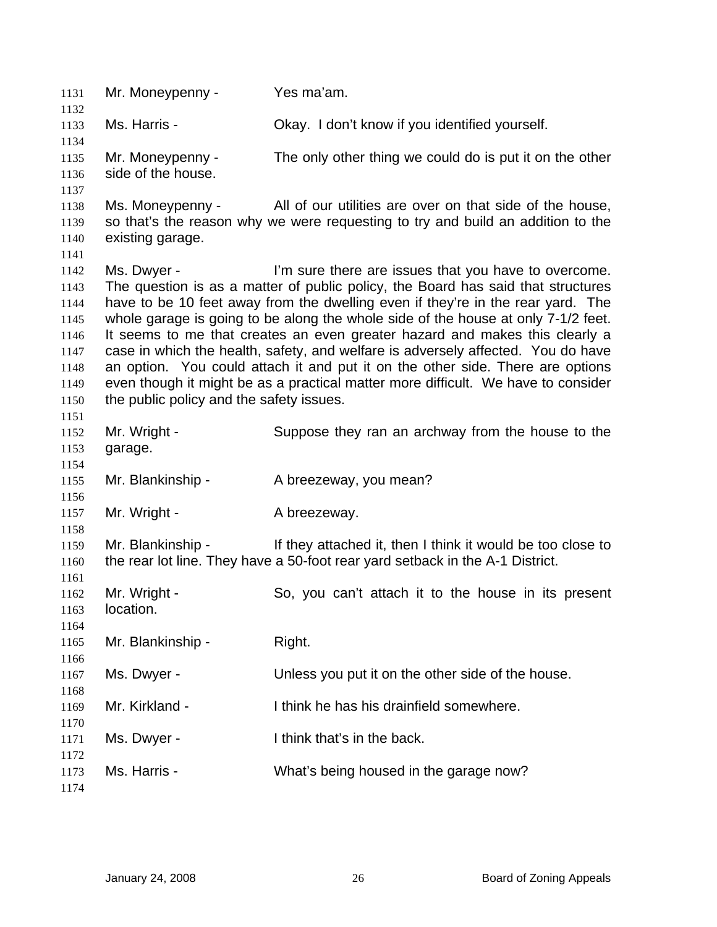| Ms. Harris -<br>Okay. I don't know if you identified yourself.<br>1133<br>1134<br>Mr. Moneypenny -<br>The only other thing we could do is put it on the other<br>1135<br>side of the house.<br>1136<br>1137<br>Ms. Moneypenny -<br>All of our utilities are over on that side of the house,<br>1138<br>so that's the reason why we were requesting to try and build an addition to the<br>1139<br>existing garage.<br>1140<br>1141<br>Ms. Dwyer -<br>I'm sure there are issues that you have to overcome.<br>1142<br>The question is as a matter of public policy, the Board has said that structures<br>1143<br>have to be 10 feet away from the dwelling even if they're in the rear yard. The<br>1144<br>whole garage is going to be along the whole side of the house at only 7-1/2 feet.<br>1145<br>It seems to me that creates an even greater hazard and makes this clearly a<br>1146<br>case in which the health, safety, and welfare is adversely affected. You do have<br>1147<br>an option. You could attach it and put it on the other side. There are options<br>1148<br>even though it might be as a practical matter more difficult. We have to consider<br>1149<br>the public policy and the safety issues.<br>1150<br>1151<br>Mr. Wright -<br>Suppose they ran an archway from the house to the<br>1152<br>1153<br>garage.<br>1154<br>Mr. Blankinship -<br>A breezeway, you mean?<br>1155<br>1156<br>Mr. Wright -<br>1157<br>A breezeway.<br>1158<br>Mr. Blankinship -<br>If they attached it, then I think it would be too close to<br>1159<br>the rear lot line. They have a 50-foot rear yard setback in the A-1 District.<br>1160<br>1161<br>Mr. Wright -<br>1162<br>So, you can't attach it to the house in its present<br>location.<br>1163<br>1164<br>Mr. Blankinship -<br>Right.<br>1165<br>1166<br>Ms. Dwyer -<br>Unless you put it on the other side of the house.<br>1167<br>1168<br>Mr. Kirkland -<br>I think he has his drainfield somewhere.<br>1169<br>1170<br>I think that's in the back.<br>Ms. Dwyer -<br>1171<br>1172<br>Ms. Harris -<br>What's being housed in the garage now?<br>1173 | 1131 | Mr. Moneypenny - | Yes ma'am. |
|-----------------------------------------------------------------------------------------------------------------------------------------------------------------------------------------------------------------------------------------------------------------------------------------------------------------------------------------------------------------------------------------------------------------------------------------------------------------------------------------------------------------------------------------------------------------------------------------------------------------------------------------------------------------------------------------------------------------------------------------------------------------------------------------------------------------------------------------------------------------------------------------------------------------------------------------------------------------------------------------------------------------------------------------------------------------------------------------------------------------------------------------------------------------------------------------------------------------------------------------------------------------------------------------------------------------------------------------------------------------------------------------------------------------------------------------------------------------------------------------------------------------------------------------------------------------------------------------------------------------------------------------------------------------------------------------------------------------------------------------------------------------------------------------------------------------------------------------------------------------------------------------------------------------------------------------------------------------------------------------------------------------------------------------------------------------------------------------------------------------------------|------|------------------|------------|
|                                                                                                                                                                                                                                                                                                                                                                                                                                                                                                                                                                                                                                                                                                                                                                                                                                                                                                                                                                                                                                                                                                                                                                                                                                                                                                                                                                                                                                                                                                                                                                                                                                                                                                                                                                                                                                                                                                                                                                                                                                                                                                                             | 1132 |                  |            |
|                                                                                                                                                                                                                                                                                                                                                                                                                                                                                                                                                                                                                                                                                                                                                                                                                                                                                                                                                                                                                                                                                                                                                                                                                                                                                                                                                                                                                                                                                                                                                                                                                                                                                                                                                                                                                                                                                                                                                                                                                                                                                                                             |      |                  |            |
|                                                                                                                                                                                                                                                                                                                                                                                                                                                                                                                                                                                                                                                                                                                                                                                                                                                                                                                                                                                                                                                                                                                                                                                                                                                                                                                                                                                                                                                                                                                                                                                                                                                                                                                                                                                                                                                                                                                                                                                                                                                                                                                             |      |                  |            |
|                                                                                                                                                                                                                                                                                                                                                                                                                                                                                                                                                                                                                                                                                                                                                                                                                                                                                                                                                                                                                                                                                                                                                                                                                                                                                                                                                                                                                                                                                                                                                                                                                                                                                                                                                                                                                                                                                                                                                                                                                                                                                                                             |      |                  |            |
|                                                                                                                                                                                                                                                                                                                                                                                                                                                                                                                                                                                                                                                                                                                                                                                                                                                                                                                                                                                                                                                                                                                                                                                                                                                                                                                                                                                                                                                                                                                                                                                                                                                                                                                                                                                                                                                                                                                                                                                                                                                                                                                             |      |                  |            |
|                                                                                                                                                                                                                                                                                                                                                                                                                                                                                                                                                                                                                                                                                                                                                                                                                                                                                                                                                                                                                                                                                                                                                                                                                                                                                                                                                                                                                                                                                                                                                                                                                                                                                                                                                                                                                                                                                                                                                                                                                                                                                                                             |      |                  |            |
|                                                                                                                                                                                                                                                                                                                                                                                                                                                                                                                                                                                                                                                                                                                                                                                                                                                                                                                                                                                                                                                                                                                                                                                                                                                                                                                                                                                                                                                                                                                                                                                                                                                                                                                                                                                                                                                                                                                                                                                                                                                                                                                             |      |                  |            |
|                                                                                                                                                                                                                                                                                                                                                                                                                                                                                                                                                                                                                                                                                                                                                                                                                                                                                                                                                                                                                                                                                                                                                                                                                                                                                                                                                                                                                                                                                                                                                                                                                                                                                                                                                                                                                                                                                                                                                                                                                                                                                                                             |      |                  |            |
|                                                                                                                                                                                                                                                                                                                                                                                                                                                                                                                                                                                                                                                                                                                                                                                                                                                                                                                                                                                                                                                                                                                                                                                                                                                                                                                                                                                                                                                                                                                                                                                                                                                                                                                                                                                                                                                                                                                                                                                                                                                                                                                             |      |                  |            |
|                                                                                                                                                                                                                                                                                                                                                                                                                                                                                                                                                                                                                                                                                                                                                                                                                                                                                                                                                                                                                                                                                                                                                                                                                                                                                                                                                                                                                                                                                                                                                                                                                                                                                                                                                                                                                                                                                                                                                                                                                                                                                                                             |      |                  |            |
|                                                                                                                                                                                                                                                                                                                                                                                                                                                                                                                                                                                                                                                                                                                                                                                                                                                                                                                                                                                                                                                                                                                                                                                                                                                                                                                                                                                                                                                                                                                                                                                                                                                                                                                                                                                                                                                                                                                                                                                                                                                                                                                             |      |                  |            |
|                                                                                                                                                                                                                                                                                                                                                                                                                                                                                                                                                                                                                                                                                                                                                                                                                                                                                                                                                                                                                                                                                                                                                                                                                                                                                                                                                                                                                                                                                                                                                                                                                                                                                                                                                                                                                                                                                                                                                                                                                                                                                                                             |      |                  |            |
|                                                                                                                                                                                                                                                                                                                                                                                                                                                                                                                                                                                                                                                                                                                                                                                                                                                                                                                                                                                                                                                                                                                                                                                                                                                                                                                                                                                                                                                                                                                                                                                                                                                                                                                                                                                                                                                                                                                                                                                                                                                                                                                             |      |                  |            |
|                                                                                                                                                                                                                                                                                                                                                                                                                                                                                                                                                                                                                                                                                                                                                                                                                                                                                                                                                                                                                                                                                                                                                                                                                                                                                                                                                                                                                                                                                                                                                                                                                                                                                                                                                                                                                                                                                                                                                                                                                                                                                                                             |      |                  |            |
|                                                                                                                                                                                                                                                                                                                                                                                                                                                                                                                                                                                                                                                                                                                                                                                                                                                                                                                                                                                                                                                                                                                                                                                                                                                                                                                                                                                                                                                                                                                                                                                                                                                                                                                                                                                                                                                                                                                                                                                                                                                                                                                             |      |                  |            |
|                                                                                                                                                                                                                                                                                                                                                                                                                                                                                                                                                                                                                                                                                                                                                                                                                                                                                                                                                                                                                                                                                                                                                                                                                                                                                                                                                                                                                                                                                                                                                                                                                                                                                                                                                                                                                                                                                                                                                                                                                                                                                                                             |      |                  |            |
|                                                                                                                                                                                                                                                                                                                                                                                                                                                                                                                                                                                                                                                                                                                                                                                                                                                                                                                                                                                                                                                                                                                                                                                                                                                                                                                                                                                                                                                                                                                                                                                                                                                                                                                                                                                                                                                                                                                                                                                                                                                                                                                             |      |                  |            |
|                                                                                                                                                                                                                                                                                                                                                                                                                                                                                                                                                                                                                                                                                                                                                                                                                                                                                                                                                                                                                                                                                                                                                                                                                                                                                                                                                                                                                                                                                                                                                                                                                                                                                                                                                                                                                                                                                                                                                                                                                                                                                                                             |      |                  |            |
|                                                                                                                                                                                                                                                                                                                                                                                                                                                                                                                                                                                                                                                                                                                                                                                                                                                                                                                                                                                                                                                                                                                                                                                                                                                                                                                                                                                                                                                                                                                                                                                                                                                                                                                                                                                                                                                                                                                                                                                                                                                                                                                             |      |                  |            |
|                                                                                                                                                                                                                                                                                                                                                                                                                                                                                                                                                                                                                                                                                                                                                                                                                                                                                                                                                                                                                                                                                                                                                                                                                                                                                                                                                                                                                                                                                                                                                                                                                                                                                                                                                                                                                                                                                                                                                                                                                                                                                                                             |      |                  |            |
|                                                                                                                                                                                                                                                                                                                                                                                                                                                                                                                                                                                                                                                                                                                                                                                                                                                                                                                                                                                                                                                                                                                                                                                                                                                                                                                                                                                                                                                                                                                                                                                                                                                                                                                                                                                                                                                                                                                                                                                                                                                                                                                             |      |                  |            |
|                                                                                                                                                                                                                                                                                                                                                                                                                                                                                                                                                                                                                                                                                                                                                                                                                                                                                                                                                                                                                                                                                                                                                                                                                                                                                                                                                                                                                                                                                                                                                                                                                                                                                                                                                                                                                                                                                                                                                                                                                                                                                                                             |      |                  |            |
|                                                                                                                                                                                                                                                                                                                                                                                                                                                                                                                                                                                                                                                                                                                                                                                                                                                                                                                                                                                                                                                                                                                                                                                                                                                                                                                                                                                                                                                                                                                                                                                                                                                                                                                                                                                                                                                                                                                                                                                                                                                                                                                             |      |                  |            |
|                                                                                                                                                                                                                                                                                                                                                                                                                                                                                                                                                                                                                                                                                                                                                                                                                                                                                                                                                                                                                                                                                                                                                                                                                                                                                                                                                                                                                                                                                                                                                                                                                                                                                                                                                                                                                                                                                                                                                                                                                                                                                                                             |      |                  |            |
|                                                                                                                                                                                                                                                                                                                                                                                                                                                                                                                                                                                                                                                                                                                                                                                                                                                                                                                                                                                                                                                                                                                                                                                                                                                                                                                                                                                                                                                                                                                                                                                                                                                                                                                                                                                                                                                                                                                                                                                                                                                                                                                             |      |                  |            |
|                                                                                                                                                                                                                                                                                                                                                                                                                                                                                                                                                                                                                                                                                                                                                                                                                                                                                                                                                                                                                                                                                                                                                                                                                                                                                                                                                                                                                                                                                                                                                                                                                                                                                                                                                                                                                                                                                                                                                                                                                                                                                                                             |      |                  |            |
|                                                                                                                                                                                                                                                                                                                                                                                                                                                                                                                                                                                                                                                                                                                                                                                                                                                                                                                                                                                                                                                                                                                                                                                                                                                                                                                                                                                                                                                                                                                                                                                                                                                                                                                                                                                                                                                                                                                                                                                                                                                                                                                             |      |                  |            |
|                                                                                                                                                                                                                                                                                                                                                                                                                                                                                                                                                                                                                                                                                                                                                                                                                                                                                                                                                                                                                                                                                                                                                                                                                                                                                                                                                                                                                                                                                                                                                                                                                                                                                                                                                                                                                                                                                                                                                                                                                                                                                                                             |      |                  |            |
|                                                                                                                                                                                                                                                                                                                                                                                                                                                                                                                                                                                                                                                                                                                                                                                                                                                                                                                                                                                                                                                                                                                                                                                                                                                                                                                                                                                                                                                                                                                                                                                                                                                                                                                                                                                                                                                                                                                                                                                                                                                                                                                             |      |                  |            |
|                                                                                                                                                                                                                                                                                                                                                                                                                                                                                                                                                                                                                                                                                                                                                                                                                                                                                                                                                                                                                                                                                                                                                                                                                                                                                                                                                                                                                                                                                                                                                                                                                                                                                                                                                                                                                                                                                                                                                                                                                                                                                                                             |      |                  |            |
|                                                                                                                                                                                                                                                                                                                                                                                                                                                                                                                                                                                                                                                                                                                                                                                                                                                                                                                                                                                                                                                                                                                                                                                                                                                                                                                                                                                                                                                                                                                                                                                                                                                                                                                                                                                                                                                                                                                                                                                                                                                                                                                             |      |                  |            |
|                                                                                                                                                                                                                                                                                                                                                                                                                                                                                                                                                                                                                                                                                                                                                                                                                                                                                                                                                                                                                                                                                                                                                                                                                                                                                                                                                                                                                                                                                                                                                                                                                                                                                                                                                                                                                                                                                                                                                                                                                                                                                                                             |      |                  |            |
|                                                                                                                                                                                                                                                                                                                                                                                                                                                                                                                                                                                                                                                                                                                                                                                                                                                                                                                                                                                                                                                                                                                                                                                                                                                                                                                                                                                                                                                                                                                                                                                                                                                                                                                                                                                                                                                                                                                                                                                                                                                                                                                             |      |                  |            |
|                                                                                                                                                                                                                                                                                                                                                                                                                                                                                                                                                                                                                                                                                                                                                                                                                                                                                                                                                                                                                                                                                                                                                                                                                                                                                                                                                                                                                                                                                                                                                                                                                                                                                                                                                                                                                                                                                                                                                                                                                                                                                                                             |      |                  |            |
|                                                                                                                                                                                                                                                                                                                                                                                                                                                                                                                                                                                                                                                                                                                                                                                                                                                                                                                                                                                                                                                                                                                                                                                                                                                                                                                                                                                                                                                                                                                                                                                                                                                                                                                                                                                                                                                                                                                                                                                                                                                                                                                             |      |                  |            |
|                                                                                                                                                                                                                                                                                                                                                                                                                                                                                                                                                                                                                                                                                                                                                                                                                                                                                                                                                                                                                                                                                                                                                                                                                                                                                                                                                                                                                                                                                                                                                                                                                                                                                                                                                                                                                                                                                                                                                                                                                                                                                                                             |      |                  |            |
|                                                                                                                                                                                                                                                                                                                                                                                                                                                                                                                                                                                                                                                                                                                                                                                                                                                                                                                                                                                                                                                                                                                                                                                                                                                                                                                                                                                                                                                                                                                                                                                                                                                                                                                                                                                                                                                                                                                                                                                                                                                                                                                             |      |                  |            |
|                                                                                                                                                                                                                                                                                                                                                                                                                                                                                                                                                                                                                                                                                                                                                                                                                                                                                                                                                                                                                                                                                                                                                                                                                                                                                                                                                                                                                                                                                                                                                                                                                                                                                                                                                                                                                                                                                                                                                                                                                                                                                                                             |      |                  |            |
|                                                                                                                                                                                                                                                                                                                                                                                                                                                                                                                                                                                                                                                                                                                                                                                                                                                                                                                                                                                                                                                                                                                                                                                                                                                                                                                                                                                                                                                                                                                                                                                                                                                                                                                                                                                                                                                                                                                                                                                                                                                                                                                             |      |                  |            |
|                                                                                                                                                                                                                                                                                                                                                                                                                                                                                                                                                                                                                                                                                                                                                                                                                                                                                                                                                                                                                                                                                                                                                                                                                                                                                                                                                                                                                                                                                                                                                                                                                                                                                                                                                                                                                                                                                                                                                                                                                                                                                                                             | 1174 |                  |            |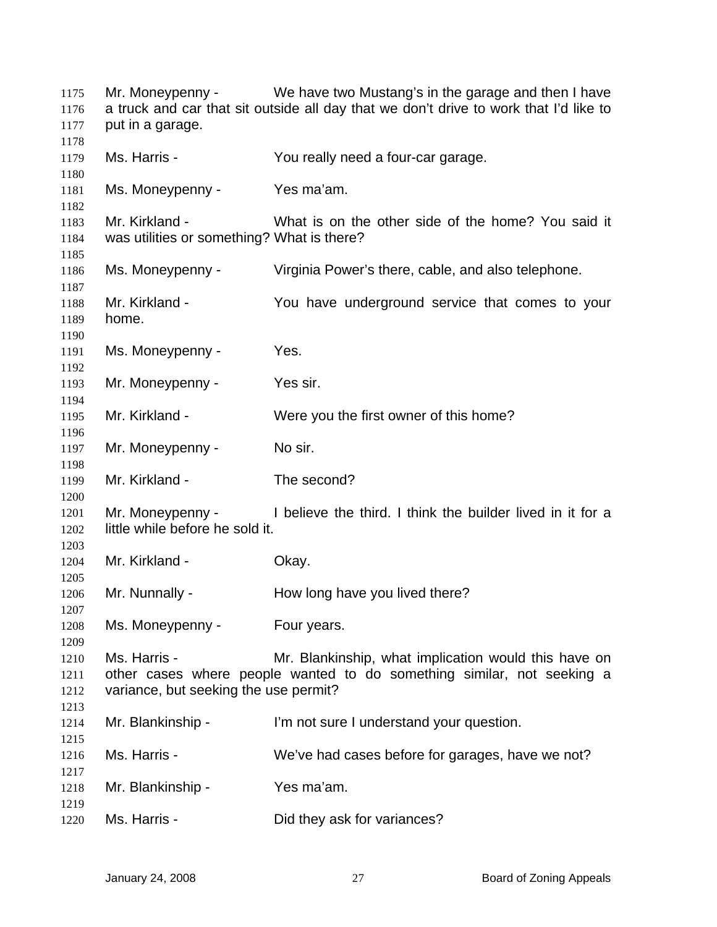Mr. Moneypenny - We have two Mustang's in the garage and then I have a truck and car that sit outside all day that we don't drive to work that I'd like to put in a garage. Ms. Harris - The You really need a four-car garage. Ms. Moneypenny - Yes ma'am. Mr. Kirkland - What is on the other side of the home? You said it was utilities or something? What is there? Ms. Moneypenny - Virginia Power's there, cable, and also telephone. Mr. Kirkland - The You have underground service that comes to your home. Ms. Moneypenny - Yes. Mr. Moneypenny - Yes sir. Mr. Kirkland - Were you the first owner of this home? Mr. Moneypenny - No sir. Mr. Kirkland - The second? Mr. Moneypenny - I believe the third. I think the builder lived in it for a little while before he sold it. Mr. Kirkland - **Okay.** Mr. Nunnally - How long have you lived there? Ms. Moneypenny - Four years. Ms. Harris - Mr. Blankinship, what implication would this have on other cases where people wanted to do something similar, not seeking a variance, but seeking the use permit? Mr. Blankinship - I'm not sure I understand your question. Ms. Harris - We've had cases before for garages, have we not? Mr. Blankinship - Yes ma'am. Ms. Harris - Did they ask for variances?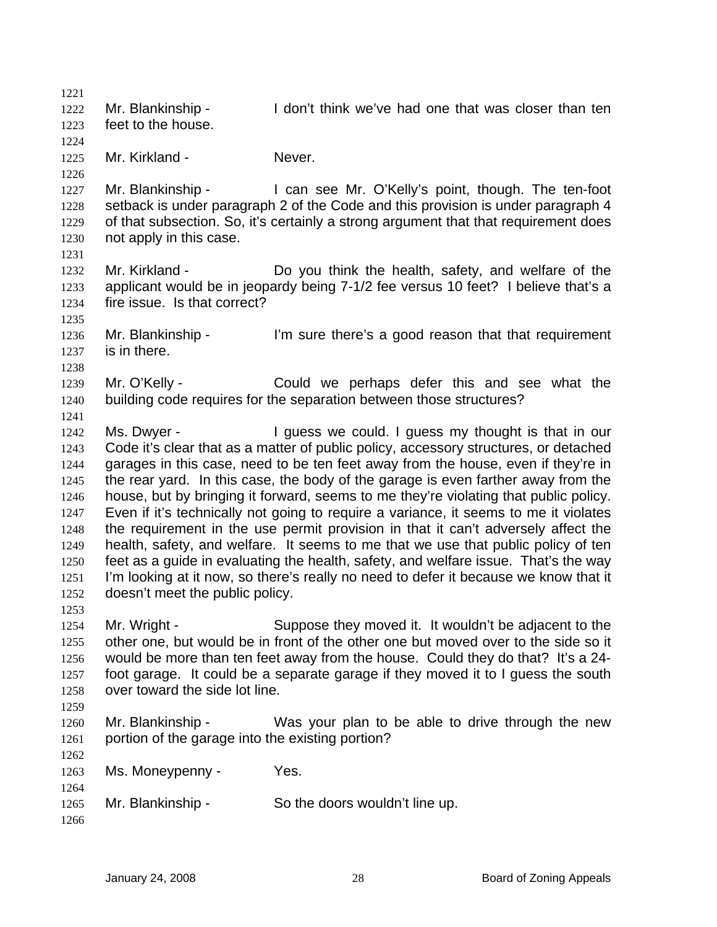1221 1222 1223 1224 1225 1226 1227 1228 1229 1230 1231 1232 1233 1234 1235 1236 1237 1238 1239 1240 1241 1242 1243 1244 1245 1246 1247 1248 1249 1250 1251 1252 1253 1254 1255 1256 1257 1258 1259 1260 1261 1262 1263 1264 1265 1266 Mr. Blankinship - I don't think we've had one that was closer than ten feet to the house. Mr. Kirkland - **Never.** Mr. Blankinship - The can see Mr. O'Kelly's point, though. The ten-foot setback is under paragraph 2 of the Code and this provision is under paragraph 4 of that subsection. So, it's certainly a strong argument that that requirement does not apply in this case. Mr. Kirkland - Do you think the health, safety, and welfare of the applicant would be in jeopardy being 7-1/2 fee versus 10 feet? I believe that's a fire issue. Is that correct? Mr. Blankinship - I'm sure there's a good reason that that requirement is in there. Mr. O'Kelly - Could we perhaps defer this and see what the building code requires for the separation between those structures? Ms. Dwyer - I guess we could. I guess my thought is that in our Code it's clear that as a matter of public policy, accessory structures, or detached garages in this case, need to be ten feet away from the house, even if they're in the rear yard. In this case, the body of the garage is even farther away from the house, but by bringing it forward, seems to me they're violating that public policy. Even if it's technically not going to require a variance, it seems to me it violates the requirement in the use permit provision in that it can't adversely affect the health, safety, and welfare. It seems to me that we use that public policy of ten feet as a guide in evaluating the health, safety, and welfare issue. That's the way I'm looking at it now, so there's really no need to defer it because we know that it doesn't meet the public policy. Mr. Wright - Suppose they moved it. It wouldn't be adjacent to the other one, but would be in front of the other one but moved over to the side so it would be more than ten feet away from the house. Could they do that? It's a 24 foot garage. It could be a separate garage if they moved it to I guess the south over toward the side lot line. Mr. Blankinship - Was your plan to be able to drive through the new portion of the garage into the existing portion? Ms. Moneypenny - Yes. Mr. Blankinship - So the doors wouldn't line up.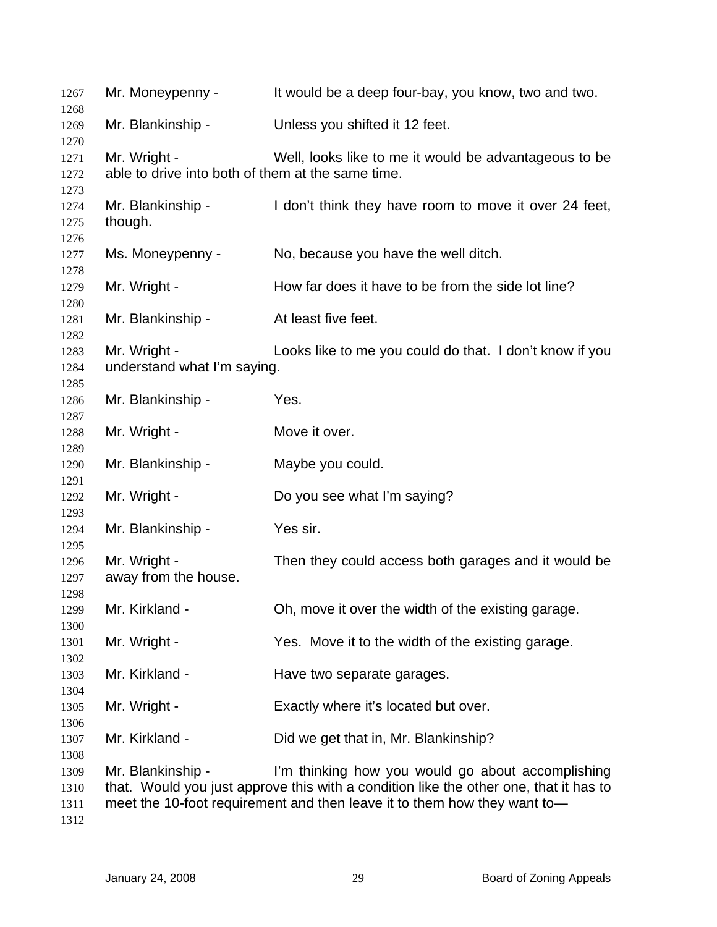| 1267<br>1268                 | Mr. Moneypenny -                                                                                                           | It would be a deep four-bay, you know, two and two.                                                                                                                                                                    |  |
|------------------------------|----------------------------------------------------------------------------------------------------------------------------|------------------------------------------------------------------------------------------------------------------------------------------------------------------------------------------------------------------------|--|
| 1269                         | Mr. Blankinship -                                                                                                          | Unless you shifted it 12 feet.                                                                                                                                                                                         |  |
| 1270<br>1271<br>1272         | Mr. Wright -<br>Well, looks like to me it would be advantageous to be<br>able to drive into both of them at the same time. |                                                                                                                                                                                                                        |  |
| 1273<br>1274<br>1275         | Mr. Blankinship -<br>though.                                                                                               | I don't think they have room to move it over 24 feet,                                                                                                                                                                  |  |
| 1276<br>1277<br>1278         | Ms. Moneypenny -                                                                                                           | No, because you have the well ditch.                                                                                                                                                                                   |  |
| 1279<br>1280                 | Mr. Wright -                                                                                                               | How far does it have to be from the side lot line?                                                                                                                                                                     |  |
| 1281<br>1282                 | Mr. Blankinship -                                                                                                          | At least five feet.                                                                                                                                                                                                    |  |
| 1283<br>1284                 | Mr. Wright -<br>understand what I'm saying.                                                                                | Looks like to me you could do that. I don't know if you                                                                                                                                                                |  |
| 1285<br>1286<br>1287         | Mr. Blankinship -                                                                                                          | Yes.                                                                                                                                                                                                                   |  |
| 1288<br>1289                 | Mr. Wright -                                                                                                               | Move it over.                                                                                                                                                                                                          |  |
| 1290<br>1291                 | Mr. Blankinship -                                                                                                          | Maybe you could.                                                                                                                                                                                                       |  |
| 1292<br>1293                 | Mr. Wright -                                                                                                               | Do you see what I'm saying?                                                                                                                                                                                            |  |
| 1294<br>1295                 | Mr. Blankinship -                                                                                                          | Yes sir.                                                                                                                                                                                                               |  |
| 1296<br>1297<br>1298         | Mr. Wright -<br>away from the house.                                                                                       | Then they could access both garages and it would be                                                                                                                                                                    |  |
| 1299<br>1300                 | Mr. Kirkland -                                                                                                             | Oh, move it over the width of the existing garage.                                                                                                                                                                     |  |
| 1301<br>1302                 | Mr. Wright -                                                                                                               | Yes. Move it to the width of the existing garage.                                                                                                                                                                      |  |
| 1303<br>1304                 | Mr. Kirkland -                                                                                                             | Have two separate garages.                                                                                                                                                                                             |  |
| 1305<br>1306                 | Mr. Wright -                                                                                                               | Exactly where it's located but over.                                                                                                                                                                                   |  |
| 1307<br>1308                 | Mr. Kirkland -                                                                                                             | Did we get that in, Mr. Blankinship?                                                                                                                                                                                   |  |
| 1309<br>1310<br>1311<br>1312 | Mr. Blankinship -                                                                                                          | I'm thinking how you would go about accomplishing<br>that. Would you just approve this with a condition like the other one, that it has to<br>meet the 10-foot requirement and then leave it to them how they want to- |  |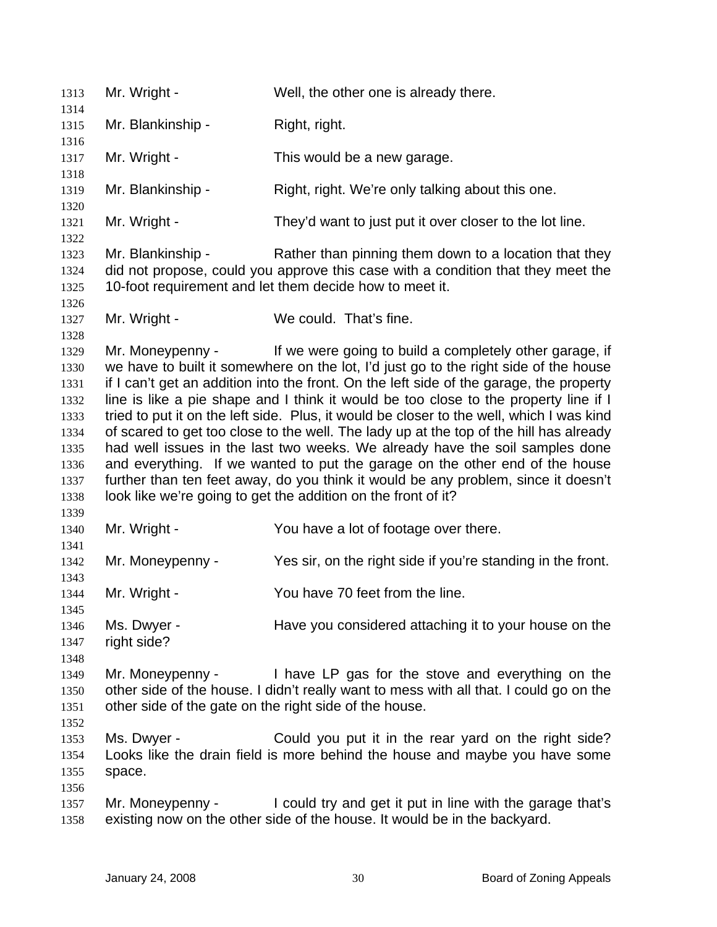1313 Mr. Wright - Well, the other one is already there. 1314 1315 1316 1317 1318 1319 1320 1321 1322 1323 1324 1325 1326 1327 1328 1329 1330 1331 1332 1333 1334 1335 1336 1337 1338 1339 1340 1341 1342 1343 1344 1345 1346 1347 1348 1349 1350 1351 1352 1353 1354 1355 1356 1357 1358 Mr. Blankinship - Right, right. Mr. Wright - This would be a new garage. Mr. Blankinship - Right, right. We're only talking about this one. Mr. Wright - They'd want to just put it over closer to the lot line. Mr. Blankinship - Rather than pinning them down to a location that they did not propose, could you approve this case with a condition that they meet the 10-foot requirement and let them decide how to meet it. Mr. Wright - We could. That's fine. Mr. Moneypenny - If we were going to build a completely other garage, if we have to built it somewhere on the lot, I'd just go to the right side of the house if I can't get an addition into the front. On the left side of the garage, the property line is like a pie shape and I think it would be too close to the property line if I tried to put it on the left side. Plus, it would be closer to the well, which I was kind of scared to get too close to the well. The lady up at the top of the hill has already had well issues in the last two weeks. We already have the soil samples done and everything. If we wanted to put the garage on the other end of the house further than ten feet away, do you think it would be any problem, since it doesn't look like we're going to get the addition on the front of it? Mr. Wright - You have a lot of footage over there. Mr. Moneypenny - Yes sir, on the right side if you're standing in the front. Mr. Wright - You have 70 feet from the line. Ms. Dwyer - Have you considered attaching it to your house on the right side? Mr. Moneypenny - I have LP gas for the stove and everything on the other side of the house. I didn't really want to mess with all that. I could go on the other side of the gate on the right side of the house. Ms. Dwyer - Could you put it in the rear yard on the right side? Looks like the drain field is more behind the house and maybe you have some space. Mr. Moneypenny - I could try and get it put in line with the garage that's existing now on the other side of the house. It would be in the backyard.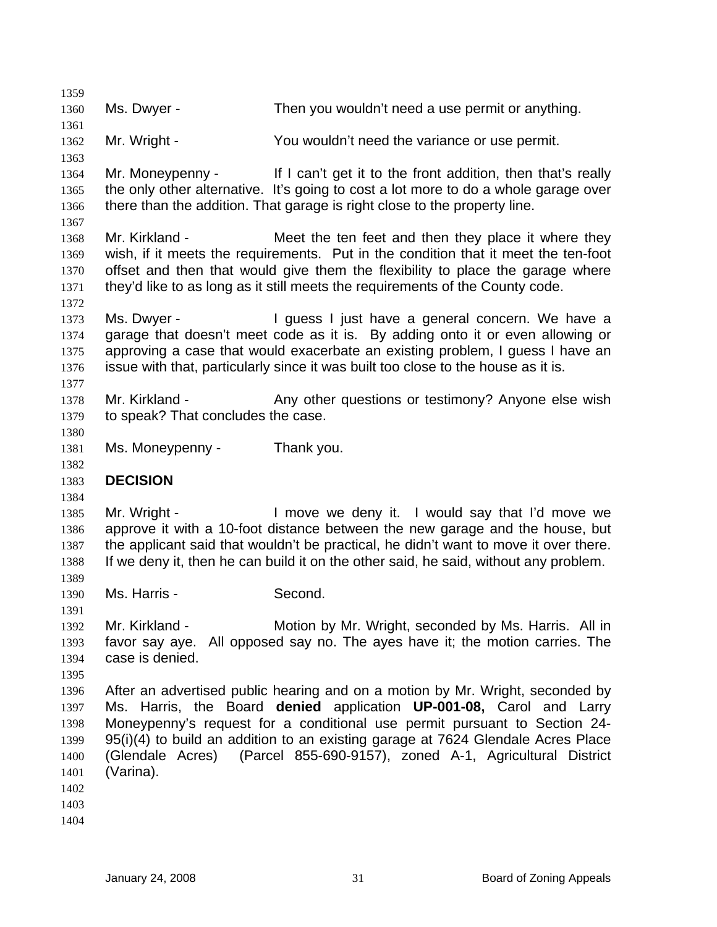1359 1360 1361 1362 1363 1364 1365 1366 1367 1368 1369 1370 1371 1372 1373 1374 1375 1376 1377 1378 1379 1380 1381 1382 1383 1384 1385 1386 1387 1388 1389 1390 1391 1392 1393 1394 1395 1396 1397 1398 1399 1400 1401 1402 1403 1404 Ms. Dwyer - Then you wouldn't need a use permit or anything. Mr. Wright - You wouldn't need the variance or use permit. Mr. Moneypenny - If I can't get it to the front addition, then that's really the only other alternative. It's going to cost a lot more to do a whole garage over there than the addition. That garage is right close to the property line. Mr. Kirkland - Meet the ten feet and then they place it where they wish, if it meets the requirements. Put in the condition that it meet the ten-foot offset and then that would give them the flexibility to place the garage where they'd like to as long as it still meets the requirements of the County code. Ms. Dwyer - The Contest Ligues I just have a general concern. We have a garage that doesn't meet code as it is. By adding onto it or even allowing or approving a case that would exacerbate an existing problem, I guess I have an issue with that, particularly since it was built too close to the house as it is. Mr. Kirkland - Any other questions or testimony? Anyone else wish to speak? That concludes the case. Ms. Moneypenny - Thank you. **DECISION**  Mr. Wright - I move we deny it. I would say that I'd move we approve it with a 10-foot distance between the new garage and the house, but the applicant said that wouldn't be practical, he didn't want to move it over there. If we deny it, then he can build it on the other said, he said, without any problem. Ms. Harris - Second. Mr. Kirkland - The Motion by Mr. Wright, seconded by Ms. Harris. All in favor say aye. All opposed say no. The ayes have it; the motion carries. The case is denied. After an advertised public hearing and on a motion by Mr. Wright, seconded by Ms. Harris, the Board **denied** application **UP-001-08,** Carol and Larry Moneypenny's request for a conditional use permit pursuant to Section 24- 95(i)(4) to build an addition to an existing garage at 7624 Glendale Acres Place (Glendale Acres) (Parcel 855-690-9157), zoned A-1, Agricultural District (Varina).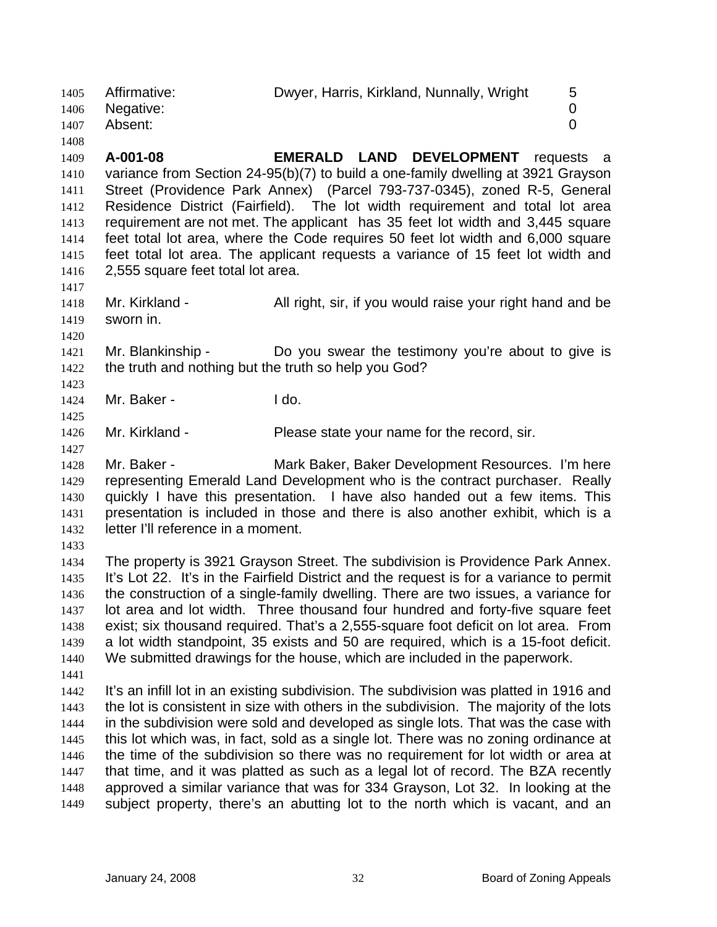1405 Affirmative: Dwyer, Harris, Kirkland, Nunnally, Wright 5 1406 1407 1408 1409 1410 1411 1412 1413 1414 1415 1416 1417 1418 1419 1420 1421 1422 1423 1424 1425 1426 1427 1428 1429 1430 1431 1432 1433 1434 1435 1436 1437 1438 1439 1440 1441 1442 1443 1444 1445 1446 1447 1448 1449 Negative: 0 Absent: 0 **A-001-08 EMERALD LAND DEVELOPMENT** requests a variance from Section 24-95(b)(7) to build a one-family dwelling at 3921 Grayson Street (Providence Park Annex) (Parcel 793-737-0345), zoned R-5, General Residence District (Fairfield). The lot width requirement and total lot area requirement are not met. The applicant has 35 feet lot width and 3,445 square feet total lot area, where the Code requires 50 feet lot width and 6,000 square feet total lot area. The applicant requests a variance of 15 feet lot width and 2,555 square feet total lot area. Mr. Kirkland - All right, sir, if you would raise your right hand and be sworn in. Mr. Blankinship - The Do you swear the testimony you're about to give is the truth and nothing but the truth so help you God? Mr. Baker - I do. Mr. Kirkland - Please state your name for the record, sir. Mr. Baker - Mark Baker, Baker Development Resources. I'm here representing Emerald Land Development who is the contract purchaser. Really quickly I have this presentation. I have also handed out a few items. This presentation is included in those and there is also another exhibit, which is a letter I'll reference in a moment. The property is 3921 Grayson Street. The subdivision is Providence Park Annex. It's Lot 22. It's in the Fairfield District and the request is for a variance to permit the construction of a single-family dwelling. There are two issues, a variance for lot area and lot width. Three thousand four hundred and forty-five square feet exist; six thousand required. That's a 2,555-square foot deficit on lot area. From a lot width standpoint, 35 exists and 50 are required, which is a 15-foot deficit. We submitted drawings for the house, which are included in the paperwork. It's an infill lot in an existing subdivision. The subdivision was platted in 1916 and the lot is consistent in size with others in the subdivision. The majority of the lots in the subdivision were sold and developed as single lots. That was the case with this lot which was, in fact, sold as a single lot. There was no zoning ordinance at the time of the subdivision so there was no requirement for lot width or area at that time, and it was platted as such as a legal lot of record. The BZA recently approved a similar variance that was for 334 Grayson, Lot 32. In looking at the subject property, there's an abutting lot to the north which is vacant, and an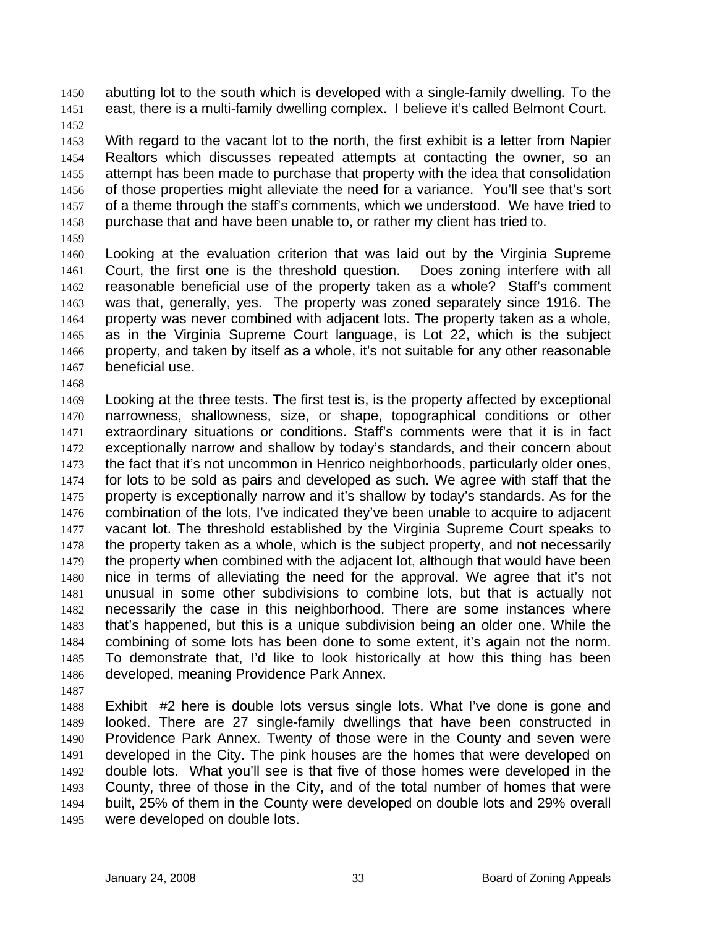abutting lot to the south which is developed with a single-family dwelling. To the east, there is a multi-family dwelling complex. I believe it's called Belmont Court. 1450 1451

1452

1453 1454 1455 1456 1457 1458 With regard to the vacant lot to the north, the first exhibit is a letter from Napier Realtors which discusses repeated attempts at contacting the owner, so an attempt has been made to purchase that property with the idea that consolidation of those properties might alleviate the need for a variance. You'll see that's sort of a theme through the staff's comments, which we understood. We have tried to purchase that and have been unable to, or rather my client has tried to.

1459

1460 1461 1462 1463 1464 1465 1466 1467 Looking at the evaluation criterion that was laid out by the Virginia Supreme Court, the first one is the threshold question. Does zoning interfere with all reasonable beneficial use of the property taken as a whole? Staff's comment was that, generally, yes. The property was zoned separately since 1916. The property was never combined with adjacent lots. The property taken as a whole, as in the Virginia Supreme Court language, is Lot 22, which is the subject property, and taken by itself as a whole, it's not suitable for any other reasonable beneficial use.

1468

1469 1470 1471 1472 1473 1474 1475 1476 1477 1478 1479 1480 1481 1482 1483 1484 1485 1486 Looking at the three tests. The first test is, is the property affected by exceptional narrowness, shallowness, size, or shape, topographical conditions or other extraordinary situations or conditions. Staff's comments were that it is in fact exceptionally narrow and shallow by today's standards, and their concern about the fact that it's not uncommon in Henrico neighborhoods, particularly older ones, for lots to be sold as pairs and developed as such. We agree with staff that the property is exceptionally narrow and it's shallow by today's standards. As for the combination of the lots, I've indicated they've been unable to acquire to adjacent vacant lot. The threshold established by the Virginia Supreme Court speaks to the property taken as a whole, which is the subject property, and not necessarily the property when combined with the adjacent lot, although that would have been nice in terms of alleviating the need for the approval. We agree that it's not unusual in some other subdivisions to combine lots, but that is actually not necessarily the case in this neighborhood. There are some instances where that's happened, but this is a unique subdivision being an older one. While the combining of some lots has been done to some extent, it's again not the norm. To demonstrate that, I'd like to look historically at how this thing has been developed, meaning Providence Park Annex.

1487

1488 1489 1490 1491 1492 1493 1494 1495 Exhibit #2 here is double lots versus single lots. What I've done is gone and looked. There are 27 single-family dwellings that have been constructed in Providence Park Annex. Twenty of those were in the County and seven were developed in the City. The pink houses are the homes that were developed on double lots. What you'll see is that five of those homes were developed in the County, three of those in the City, and of the total number of homes that were built, 25% of them in the County were developed on double lots and 29% overall were developed on double lots.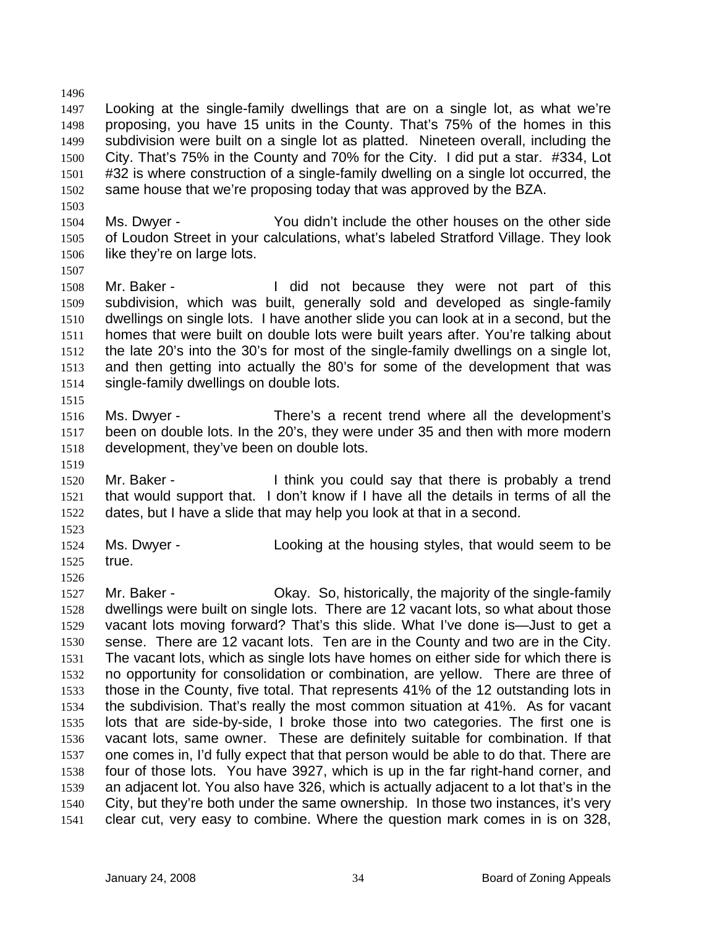1497 1498 1499 1500 1501 1502 Looking at the single-family dwellings that are on a single lot, as what we're proposing, you have 15 units in the County. That's 75% of the homes in this subdivision were built on a single lot as platted. Nineteen overall, including the City. That's 75% in the County and 70% for the City. I did put a star. #334, Lot #32 is where construction of a single-family dwelling on a single lot occurred, the same house that we're proposing today that was approved by the BZA.

- 1504 1505 1506 Ms. Dwyer - You didn't include the other houses on the other side of Loudon Street in your calculations, what's labeled Stratford Village. They look like they're on large lots.
- 1507

1503

1496

1508 1509 1510 1511 1512 1513 1514 1515 Mr. Baker - The Muslim of this included they were not part of this subdivision, which was built, generally sold and developed as single-family dwellings on single lots. I have another slide you can look at in a second, but the homes that were built on double lots were built years after. You're talking about the late 20's into the 30's for most of the single-family dwellings on a single lot, and then getting into actually the 80's for some of the development that was single-family dwellings on double lots.

- 1516 1517 1518 Ms. Dwyer - There's a recent trend where all the development's been on double lots. In the 20's, they were under 35 and then with more modern development, they've been on double lots.
- 1520 1521 1522 Mr. Baker - Think you could say that there is probably a trend that would support that. I don't know if I have all the details in terms of all the dates, but I have a slide that may help you look at that in a second.
- 1523

1519

1524 Ms. Dwyer - Looking at the housing styles, that would seem to be true.

1525 1526

1527 1528 1529 1530 1531 1532 1533 1534 1535 1536 1537 1538 1539 1540 1541 Mr. Baker - Chay. So, historically, the majority of the single-family dwellings were built on single lots. There are 12 vacant lots, so what about those vacant lots moving forward? That's this slide. What I've done is—Just to get a sense. There are 12 vacant lots. Ten are in the County and two are in the City. The vacant lots, which as single lots have homes on either side for which there is no opportunity for consolidation or combination, are yellow. There are three of those in the County, five total. That represents 41% of the 12 outstanding lots in the subdivision. That's really the most common situation at 41%. As for vacant lots that are side-by-side, I broke those into two categories. The first one is vacant lots, same owner. These are definitely suitable for combination. If that one comes in, I'd fully expect that that person would be able to do that. There are four of those lots. You have 3927, which is up in the far right-hand corner, and an adjacent lot. You also have 326, which is actually adjacent to a lot that's in the City, but they're both under the same ownership. In those two instances, it's very clear cut, very easy to combine. Where the question mark comes in is on 328,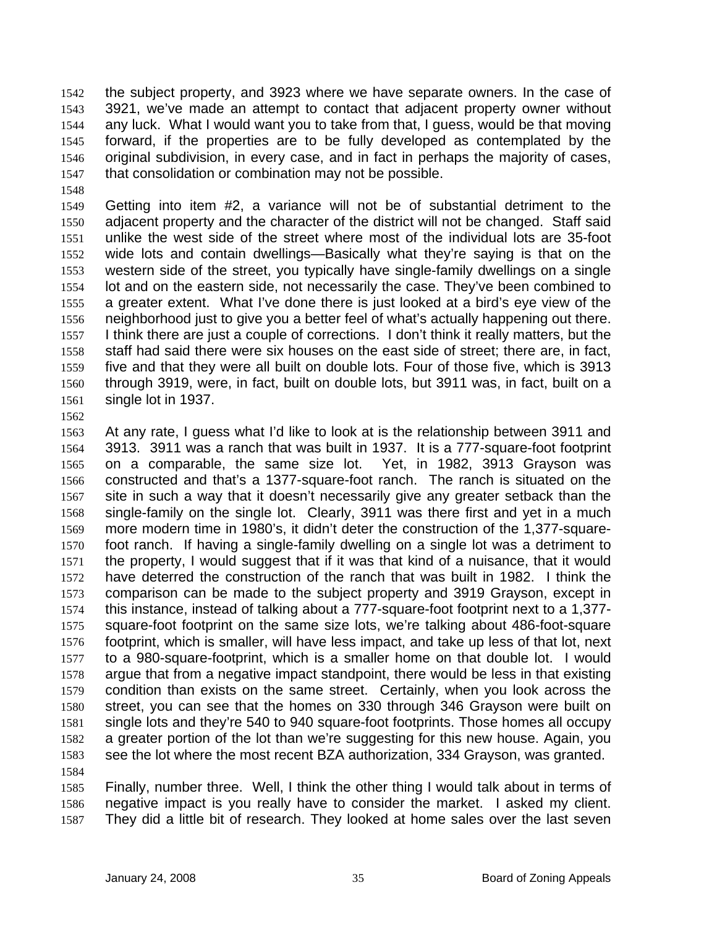the subject property, and 3923 where we have separate owners. In the case of 3921, we've made an attempt to contact that adjacent property owner without any luck. What I would want you to take from that, I guess, would be that moving forward, if the properties are to be fully developed as contemplated by the original subdivision, in every case, and in fact in perhaps the majority of cases, that consolidation or combination may not be possible. 1542 1543 1544 1545 1546 1547

1548

1549 1550 1551 1552 1553 1554 1555 1556 1557 1558 1559 1560 1561 Getting into item #2, a variance will not be of substantial detriment to the adjacent property and the character of the district will not be changed. Staff said unlike the west side of the street where most of the individual lots are 35-foot wide lots and contain dwellings—Basically what they're saying is that on the western side of the street, you typically have single-family dwellings on a single lot and on the eastern side, not necessarily the case. They've been combined to a greater extent. What I've done there is just looked at a bird's eye view of the neighborhood just to give you a better feel of what's actually happening out there. I think there are just a couple of corrections. I don't think it really matters, but the staff had said there were six houses on the east side of street; there are, in fact, five and that they were all built on double lots. Four of those five, which is 3913 through 3919, were, in fact, built on double lots, but 3911 was, in fact, built on a single lot in 1937.

1562

1563 1564 1565 1566 1567 1568 1569 1570 1571 1572 1573 1574 1575 1576 1577 1578 1579 1580 1581 1582 1583 1584 At any rate, I guess what I'd like to look at is the relationship between 3911 and 3913. 3911 was a ranch that was built in 1937. It is a 777-square-foot footprint on a comparable, the same size lot. Yet, in 1982, 3913 Grayson was constructed and that's a 1377-square-foot ranch. The ranch is situated on the site in such a way that it doesn't necessarily give any greater setback than the single-family on the single lot. Clearly, 3911 was there first and yet in a much more modern time in 1980's, it didn't deter the construction of the 1,377-squarefoot ranch. If having a single-family dwelling on a single lot was a detriment to the property, I would suggest that if it was that kind of a nuisance, that it would have deterred the construction of the ranch that was built in 1982. I think the comparison can be made to the subject property and 3919 Grayson, except in this instance, instead of talking about a 777-square-foot footprint next to a 1,377 square-foot footprint on the same size lots, we're talking about 486-foot-square footprint, which is smaller, will have less impact, and take up less of that lot, next to a 980-square-footprint, which is a smaller home on that double lot. I would argue that from a negative impact standpoint, there would be less in that existing condition than exists on the same street. Certainly, when you look across the street, you can see that the homes on 330 through 346 Grayson were built on single lots and they're 540 to 940 square-foot footprints. Those homes all occupy a greater portion of the lot than we're suggesting for this new house. Again, you see the lot where the most recent BZA authorization, 334 Grayson, was granted.

1585 1586 1587 Finally, number three. Well, I think the other thing I would talk about in terms of negative impact is you really have to consider the market. I asked my client. They did a little bit of research. They looked at home sales over the last seven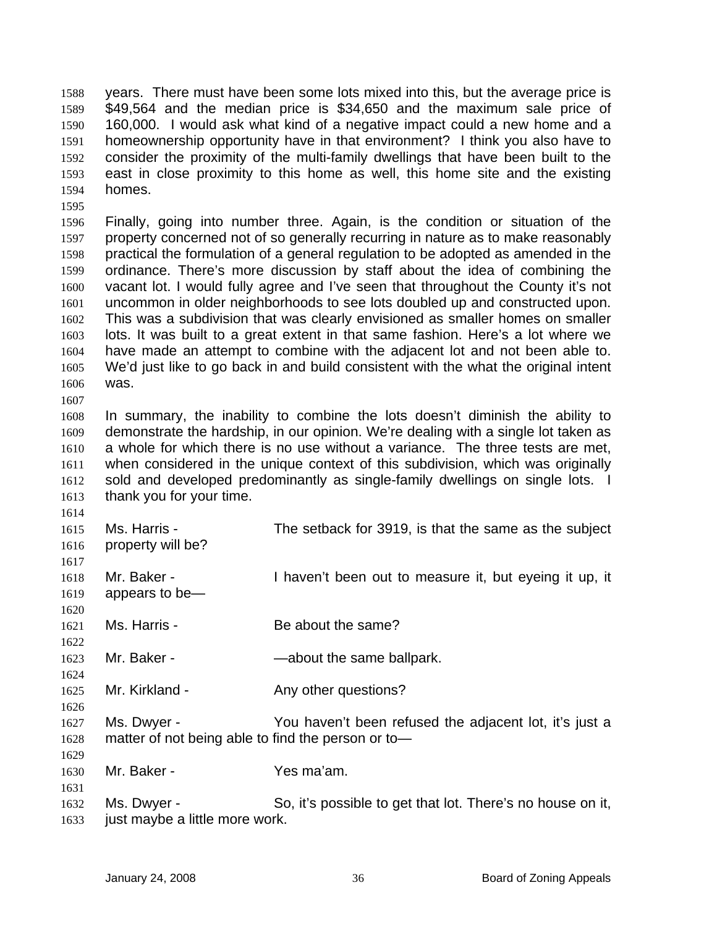years. There must have been some lots mixed into this, but the average price is \$49,564 and the median price is \$34,650 and the maximum sale price of 160,000. I would ask what kind of a negative impact could a new home and a homeownership opportunity have in that environment? I think you also have to consider the proximity of the multi-family dwellings that have been built to the east in close proximity to this home as well, this home site and the existing homes. 1588 1589 1590 1591 1592 1593 1594

1596 1597 1598 1599 1600 1601 1602 1603 1604 1605 1606 Finally, going into number three. Again, is the condition or situation of the property concerned not of so generally recurring in nature as to make reasonably practical the formulation of a general regulation to be adopted as amended in the ordinance. There's more discussion by staff about the idea of combining the vacant lot. I would fully agree and I've seen that throughout the County it's not uncommon in older neighborhoods to see lots doubled up and constructed upon. This was a subdivision that was clearly envisioned as smaller homes on smaller lots. It was built to a great extent in that same fashion. Here's a lot where we have made an attempt to combine with the adjacent lot and not been able to. We'd just like to go back in and build consistent with the what the original intent was.

1608 1609 1610 1611 1612 1613 In summary, the inability to combine the lots doesn't diminish the ability to demonstrate the hardship, in our opinion. We're dealing with a single lot taken as a whole for which there is no use without a variance. The three tests are met, when considered in the unique context of this subdivision, which was originally sold and developed predominantly as single-family dwellings on single lots. I thank you for your time.

1614

1624

1626

1629

1631

1607

1595

1615 1616 1617 1618 1619 1620 Ms. Harris - The setback for 3919, is that the same as the subject property will be? Mr. Baker - The Muslim Chaven't been out to measure it, but eyeing it up, it appears to be—

1621 1622 Ms. Harris - The about the same?

1623 Mr. Baker - The Same ballpark.

1625 Mr. Kirkland - The Any other questions?

1627 1628 Ms. Dwyer - You haven't been refused the adjacent lot, it's just a matter of not being able to find the person or to—

1630 Mr. Baker - The Yes ma'am.

1632 1633 Ms. Dwyer - So, it's possible to get that lot. There's no house on it, just maybe a little more work.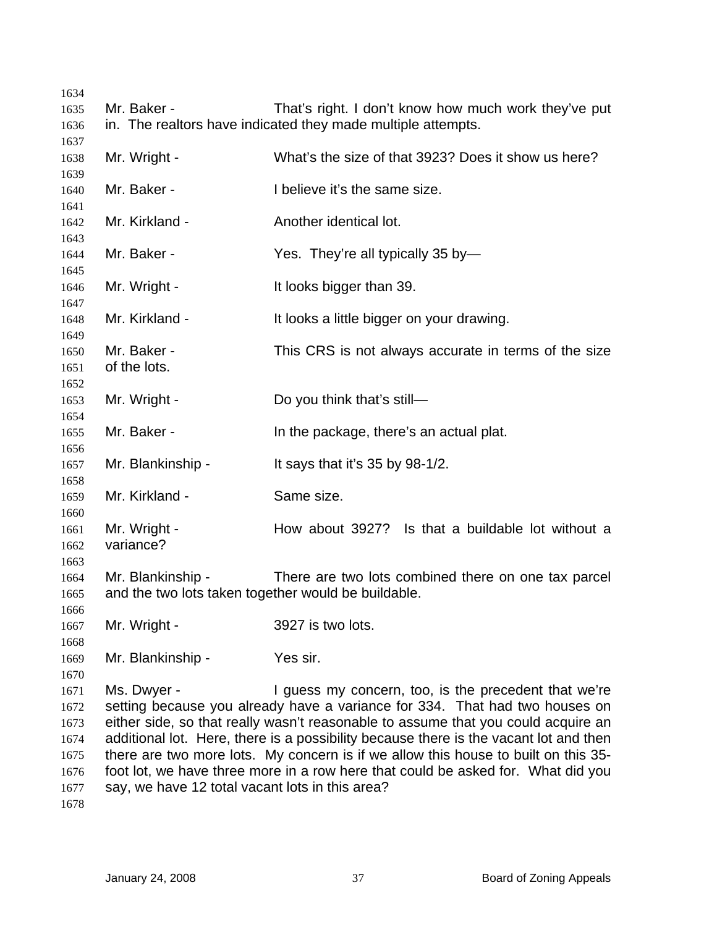Mr. Baker - That's right. I don't know how much work they've put in. The realtors have indicated they made multiple attempts. Mr. Wright - What's the size of that 3923? Does it show us here? Mr. Baker - Thelieve it's the same size. Mr. Kirkland - Another identical lot. Mr. Baker - Yes. They're all typically 35 by-Mr. Wright - The It looks bigger than 39. Mr. Kirkland - It looks a little bigger on your drawing. Mr. Baker - This CRS is not always accurate in terms of the size of the lots. Mr. Wright - Do you think that's still— Mr. Baker - The package, there's an actual plat. Mr. Blankinship - It says that it's 35 by 98-1/2. Mr. Kirkland - Same size. Mr. Wright - The How about 3927? Is that a buildable lot without a variance? Mr. Blankinship - There are two lots combined there on one tax parcel and the two lots taken together would be buildable. Mr. Wright - 3927 is two lots. Mr. Blankinship - Yes sir. Ms. Dwyer - I guess my concern, too, is the precedent that we're setting because you already have a variance for 334. That had two houses on either side, so that really wasn't reasonable to assume that you could acquire an additional lot. Here, there is a possibility because there is the vacant lot and then there are two more lots. My concern is if we allow this house to built on this 35 foot lot, we have three more in a row here that could be asked for. What did you say, we have 12 total vacant lots in this area?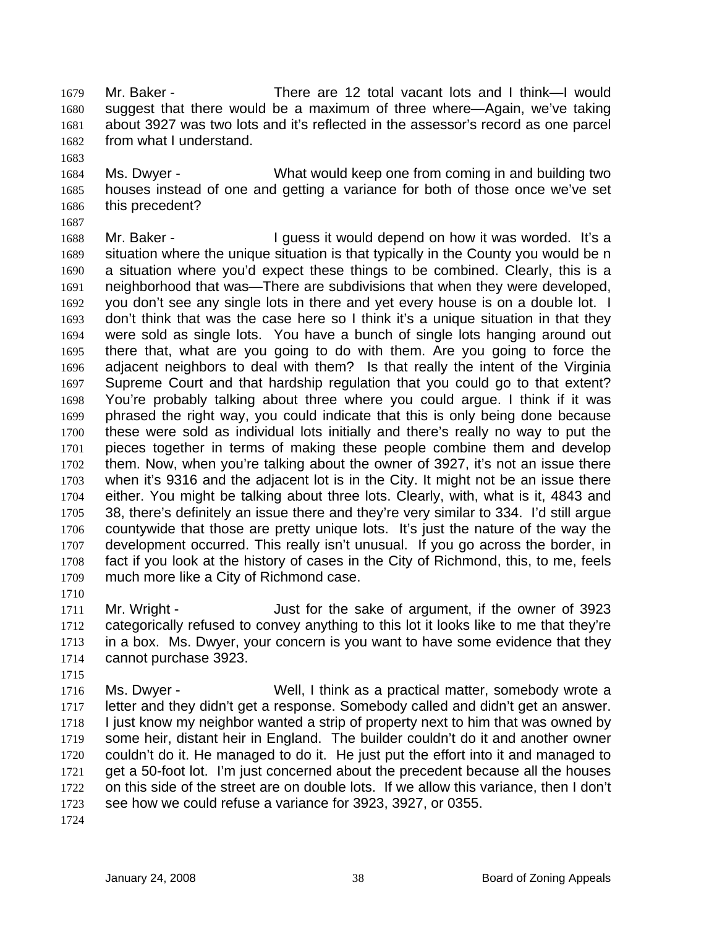Mr. Baker - There are 12 total vacant lots and I think—I would suggest that there would be a maximum of three where—Again, we've taking about 3927 was two lots and it's reflected in the assessor's record as one parcel from what I understand. 1679 1680 1681 1682

1684 1685 1686 Ms. Dwyer - What would keep one from coming in and building two houses instead of one and getting a variance for both of those once we've set this precedent?

1687 1688 1689 1690 1691 1692 1693 1694 1695 1696 1697 1698 1699 1700 1701 1702 1703 1704 1705 1706 1707 1708 1709 Mr. Baker - I guess it would depend on how it was worded. It's a situation where the unique situation is that typically in the County you would be n a situation where you'd expect these things to be combined. Clearly, this is a neighborhood that was—There are subdivisions that when they were developed, you don't see any single lots in there and yet every house is on a double lot. I don't think that was the case here so I think it's a unique situation in that they were sold as single lots. You have a bunch of single lots hanging around out there that, what are you going to do with them. Are you going to force the adjacent neighbors to deal with them? Is that really the intent of the Virginia Supreme Court and that hardship regulation that you could go to that extent? You're probably talking about three where you could argue. I think if it was phrased the right way, you could indicate that this is only being done because these were sold as individual lots initially and there's really no way to put the pieces together in terms of making these people combine them and develop them. Now, when you're talking about the owner of 3927, it's not an issue there when it's 9316 and the adjacent lot is in the City. It might not be an issue there either. You might be talking about three lots. Clearly, with, what is it, 4843 and 38, there's definitely an issue there and they're very similar to 334. I'd still argue countywide that those are pretty unique lots. It's just the nature of the way the development occurred. This really isn't unusual. If you go across the border, in fact if you look at the history of cases in the City of Richmond, this, to me, feels much more like a City of Richmond case.

1710

1715

1683

1711 1712 1713 1714 Mr. Wright - Just for the sake of argument, if the owner of 3923 categorically refused to convey anything to this lot it looks like to me that they're in a box. Ms. Dwyer, your concern is you want to have some evidence that they cannot purchase 3923.

1716 1717 1718 1719 1720 1721 1722 1723 Ms. Dwyer - Well, I think as a practical matter, somebody wrote a letter and they didn't get a response. Somebody called and didn't get an answer. I just know my neighbor wanted a strip of property next to him that was owned by some heir, distant heir in England. The builder couldn't do it and another owner couldn't do it. He managed to do it. He just put the effort into it and managed to get a 50-foot lot. I'm just concerned about the precedent because all the houses on this side of the street are on double lots. If we allow this variance, then I don't see how we could refuse a variance for 3923, 3927, or 0355.

1724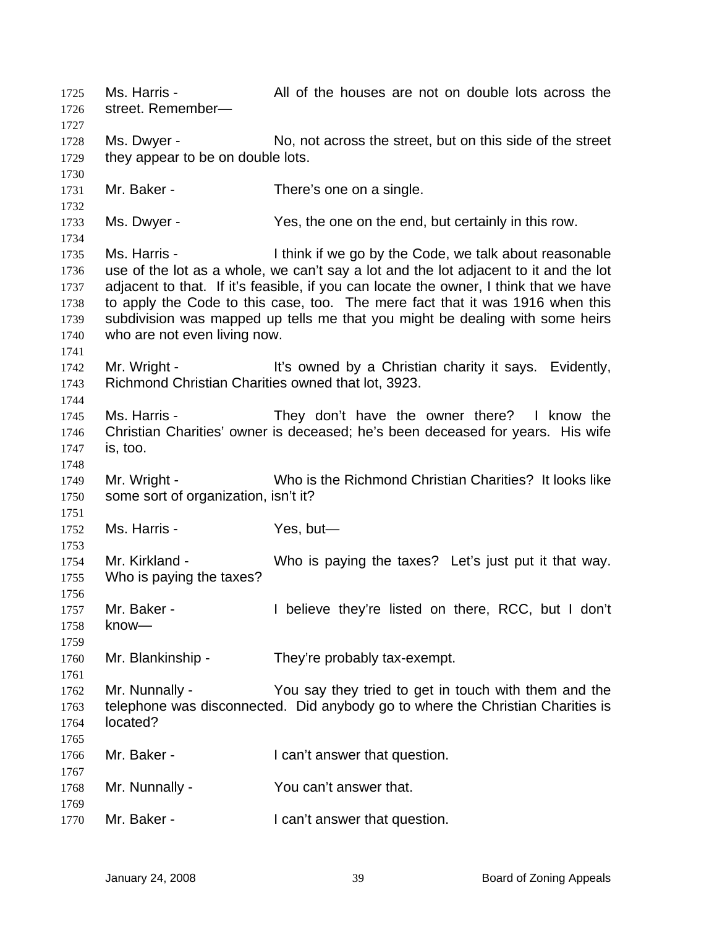Ms. Harris - All of the houses are not on double lots across the street. Remember— 1725 1726 1727 1728 1729 1730 1731 1732 1733 1734 1735 1736 1737 1738 1739 1740 1741 1742 1743 1744 1745 1746 1747 1748 1749 1750 1751 1752 1753 1754 1755 1756 1757 1758 1759 1760 1761 1762 1763 1764 1765 1766 1767 1768 1769 1770 Ms. Dwyer - No, not across the street, but on this side of the street they appear to be on double lots. Mr. Baker - There's one on a single. Ms. Dwyer - Yes, the one on the end, but certainly in this row. Ms. Harris - I think if we go by the Code, we talk about reasonable use of the lot as a whole, we can't say a lot and the lot adjacent to it and the lot adjacent to that. If it's feasible, if you can locate the owner, I think that we have to apply the Code to this case, too. The mere fact that it was 1916 when this subdivision was mapped up tells me that you might be dealing with some heirs who are not even living now. Mr. Wright - It's owned by a Christian charity it says. Evidently, Richmond Christian Charities owned that lot, 3923. Ms. Harris - They don't have the owner there? I know the Christian Charities' owner is deceased; he's been deceased for years. His wife is, too. Mr. Wright - Who is the Richmond Christian Charities? It looks like some sort of organization, isn't it? Ms. Harris - Yes, but— Mr. Kirkland - Who is paying the taxes? Let's just put it that way. Who is paying the taxes? Mr. Baker - The Believe they're listed on there, RCC, but I don't know— Mr. Blankinship - They're probably tax-exempt. Mr. Nunnally - You say they tried to get in touch with them and the telephone was disconnected. Did anybody go to where the Christian Charities is located? Mr. Baker - The Can't answer that question. Mr. Nunnally - You can't answer that. Mr. Baker - The Can't answer that question.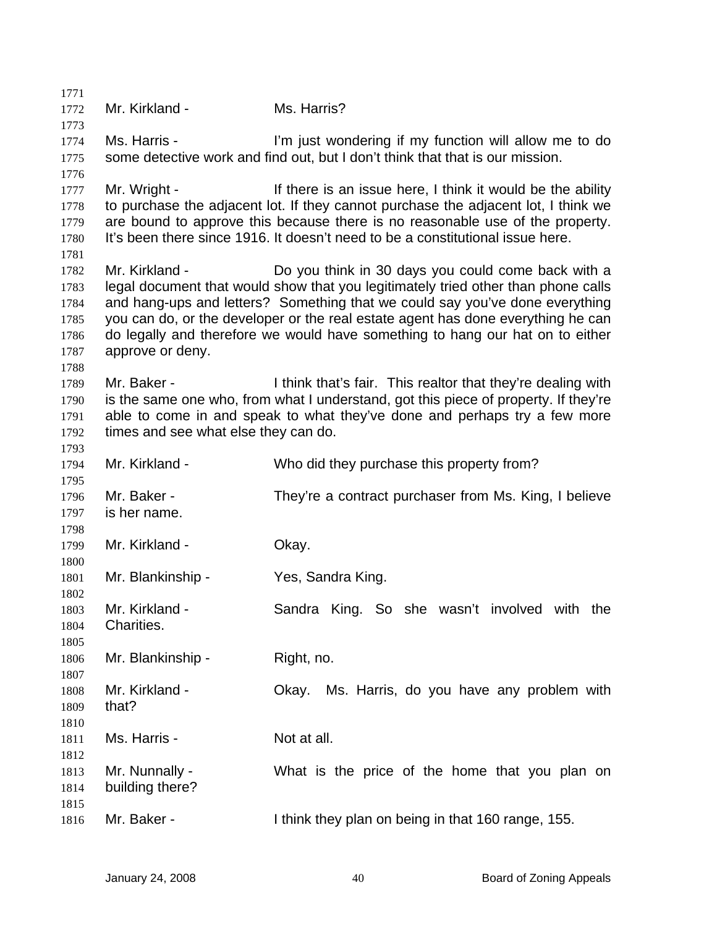1771 1772 1773 1774 1775 1776 1777 1778 1779 1780 1781 1782 1783 1784 1785 1786 1787 1788 1789 1790 1791 1792 1793 1794 1795 1796 1797 1798 1799 1800 1801 1802 1803 1804 1805 1806 1807 1808 1809 1810 1811 1812 1813 1814 1815 1816 Mr. Kirkland - Ms. Harris? Ms. Harris - I'm just wondering if my function will allow me to do some detective work and find out, but I don't think that that is our mission. Mr. Wright - There is an issue here, I think it would be the ability to purchase the adjacent lot. If they cannot purchase the adjacent lot, I think we are bound to approve this because there is no reasonable use of the property. It's been there since 1916. It doesn't need to be a constitutional issue here. Mr. Kirkland - **Do you think in 30 days you could come back with a** legal document that would show that you legitimately tried other than phone calls and hang-ups and letters? Something that we could say you've done everything you can do, or the developer or the real estate agent has done everything he can do legally and therefore we would have something to hang our hat on to either approve or deny. Mr. Baker - I think that's fair. This realtor that they're dealing with is the same one who, from what I understand, got this piece of property. If they're able to come in and speak to what they've done and perhaps try a few more times and see what else they can do. Mr. Kirkland - Who did they purchase this property from? Mr. Baker - They're a contract purchaser from Ms. King, I believe is her name. Mr. Kirkland - **Okay.** Mr. Blankinship - Yes, Sandra King. Mr. Kirkland - Sandra King. So she wasn't involved with the Charities. Mr. Blankinship - Right, no. Mr. Kirkland - Chay. Ms. Harris, do you have any problem with that? Ms. Harris - Not at all. Mr. Nunnally - What is the price of the home that you plan on building there? Mr. Baker - I think they plan on being in that 160 range, 155.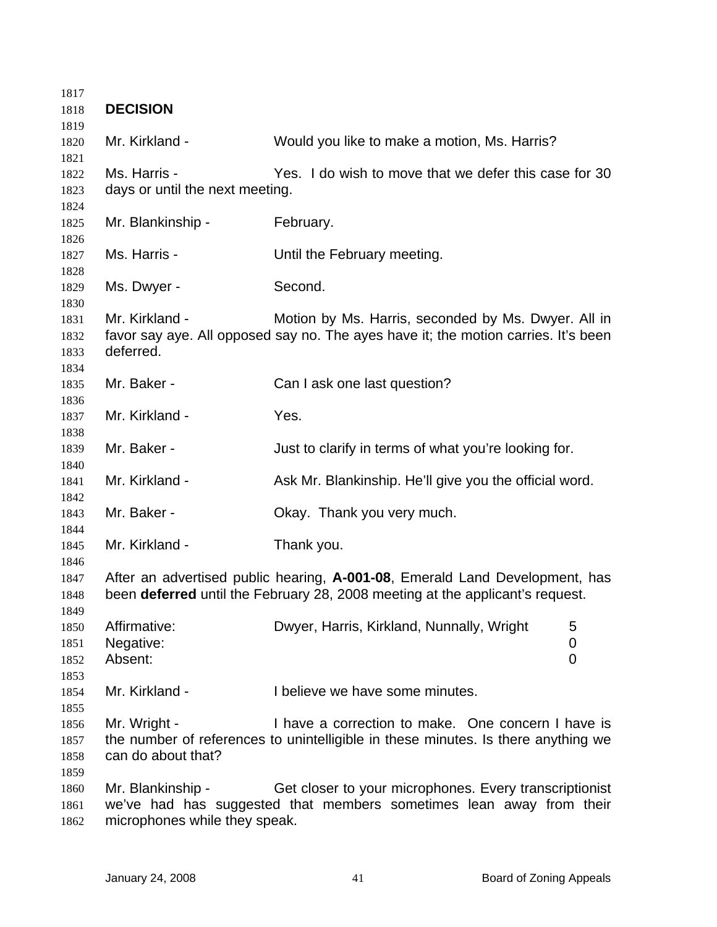| 1817                         |                                                    |                                                                                                                                                              |                |
|------------------------------|----------------------------------------------------|--------------------------------------------------------------------------------------------------------------------------------------------------------------|----------------|
| 1818                         | <b>DECISION</b>                                    |                                                                                                                                                              |                |
| 1819                         |                                                    |                                                                                                                                                              |                |
| 1820                         | Mr. Kirkland -                                     | Would you like to make a motion, Ms. Harris?                                                                                                                 |                |
| 1821                         |                                                    |                                                                                                                                                              |                |
| 1822                         | Ms. Harris -<br>days or until the next meeting.    | Yes. I do wish to move that we defer this case for 30                                                                                                        |                |
| 1823<br>1824                 |                                                    |                                                                                                                                                              |                |
| 1825                         | Mr. Blankinship -                                  | February.                                                                                                                                                    |                |
| 1826<br>1827                 | Ms. Harris -                                       | Until the February meeting.                                                                                                                                  |                |
| 1828<br>1829                 | Ms. Dwyer -                                        | Second.                                                                                                                                                      |                |
| 1830                         |                                                    |                                                                                                                                                              |                |
| 1831<br>1832<br>1833         | Mr. Kirkland -<br>deferred.                        | Motion by Ms. Harris, seconded by Ms. Dwyer. All in<br>favor say aye. All opposed say no. The ayes have it; the motion carries. It's been                    |                |
| 1834                         |                                                    |                                                                                                                                                              |                |
| 1835                         | Mr. Baker -                                        | Can I ask one last question?                                                                                                                                 |                |
| 1836                         |                                                    |                                                                                                                                                              |                |
| 1837                         | Mr. Kirkland -                                     | Yes.                                                                                                                                                         |                |
| 1838<br>1839<br>1840         | Mr. Baker -                                        | Just to clarify in terms of what you're looking for.                                                                                                         |                |
| 1841<br>1842                 | Mr. Kirkland -                                     | Ask Mr. Blankinship. He'll give you the official word.                                                                                                       |                |
| 1843<br>1844                 | Mr. Baker -                                        | Okay. Thank you very much.                                                                                                                                   |                |
| 1845<br>1846                 | Mr. Kirkland -                                     | Thank you.                                                                                                                                                   |                |
| 1847<br>1848                 |                                                    | After an advertised public hearing, A-001-08, Emerald Land Development, has<br>been deferred until the February 28, 2008 meeting at the applicant's request. |                |
| 1849<br>1850                 | Affirmative:                                       | Dwyer, Harris, Kirkland, Nunnally, Wright                                                                                                                    | 5              |
| 1851                         | Negative:                                          |                                                                                                                                                              | 0              |
| 1852                         | Absent:                                            |                                                                                                                                                              | $\overline{0}$ |
| 1853                         |                                                    |                                                                                                                                                              |                |
| 1854                         | Mr. Kirkland -                                     | I believe we have some minutes.                                                                                                                              |                |
| 1855                         |                                                    |                                                                                                                                                              |                |
| 1856<br>1857<br>1858         | Mr. Wright -<br>can do about that?                 | I have a correction to make. One concern I have is<br>the number of references to unintelligible in these minutes. Is there anything we                      |                |
| 1859<br>1860<br>1861<br>1862 | Mr. Blankinship -<br>microphones while they speak. | Get closer to your microphones. Every transcriptionist<br>we've had has suggested that members sometimes lean away from their                                |                |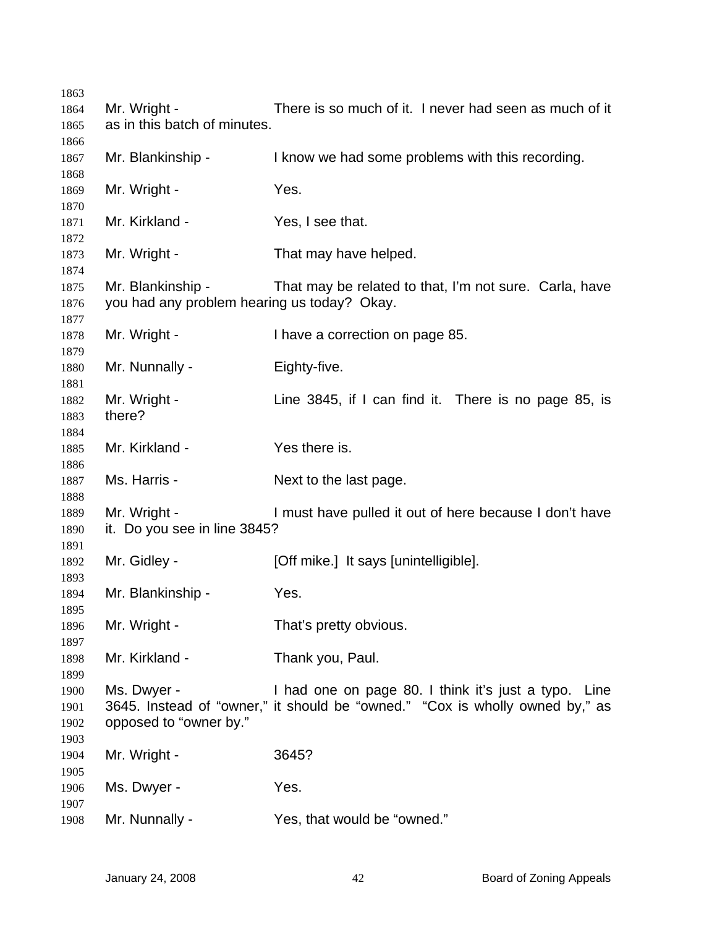| 1863         |                                             |                                                                              |
|--------------|---------------------------------------------|------------------------------------------------------------------------------|
| 1864         | Mr. Wright -                                | There is so much of it. I never had seen as much of it                       |
| 1865         | as in this batch of minutes.                |                                                                              |
| 1866         |                                             |                                                                              |
| 1867         | Mr. Blankinship -                           | I know we had some problems with this recording.                             |
| 1868         |                                             |                                                                              |
| 1869         | Mr. Wright -                                | Yes.                                                                         |
| 1870         |                                             |                                                                              |
| 1871         | Mr. Kirkland -                              | Yes, I see that.                                                             |
| 1872         |                                             |                                                                              |
| 1873         | Mr. Wright -                                | That may have helped.                                                        |
| 1874         |                                             |                                                                              |
| 1875         | Mr. Blankinship -                           | That may be related to that, I'm not sure. Carla, have                       |
| 1876         | you had any problem hearing us today? Okay. |                                                                              |
| 1877         |                                             |                                                                              |
| 1878         | Mr. Wright -                                | I have a correction on page 85.                                              |
| 1879         |                                             |                                                                              |
| 1880         | Mr. Nunnally -                              | Eighty-five.                                                                 |
| 1881         |                                             |                                                                              |
| 1882         | Mr. Wright -                                | Line 3845, if I can find it. There is no page 85, is                         |
| 1883         | there?                                      |                                                                              |
| 1884         |                                             |                                                                              |
| 1885         | Mr. Kirkland -                              | Yes there is.                                                                |
| 1886         |                                             |                                                                              |
| 1887         | Ms. Harris -                                | Next to the last page.                                                       |
| 1888         |                                             |                                                                              |
| 1889         | Mr. Wright -                                | I must have pulled it out of here because I don't have                       |
| 1890         | it. Do you see in line 3845?                |                                                                              |
| 1891         |                                             |                                                                              |
| 1892         | Mr. Gidley -                                | [Off mike.] It says [unintelligible].                                        |
| 1893         |                                             |                                                                              |
| 1894         | Mr. Blankinship -                           | Yes.                                                                         |
| 1895         |                                             |                                                                              |
| 1896         | Mr. Wright -                                | That's pretty obvious.                                                       |
| 1897         |                                             |                                                                              |
| 1898         | Mr. Kirkland -                              | Thank you, Paul.                                                             |
| 1899         |                                             |                                                                              |
| 1900         | Ms. Dwyer -                                 | I had one on page 80. I think it's just a typo. Line                         |
| 1901         |                                             | 3645. Instead of "owner," it should be "owned." "Cox is wholly owned by," as |
| 1902         | opposed to "owner by."                      |                                                                              |
| 1903<br>1904 | Mr. Wright -                                | 3645?                                                                        |
| 1905         |                                             |                                                                              |
| 1906         | Ms. Dwyer -                                 | Yes.                                                                         |
| 1907         |                                             |                                                                              |
| 1908         | Mr. Nunnally -                              | Yes, that would be "owned."                                                  |
|              |                                             |                                                                              |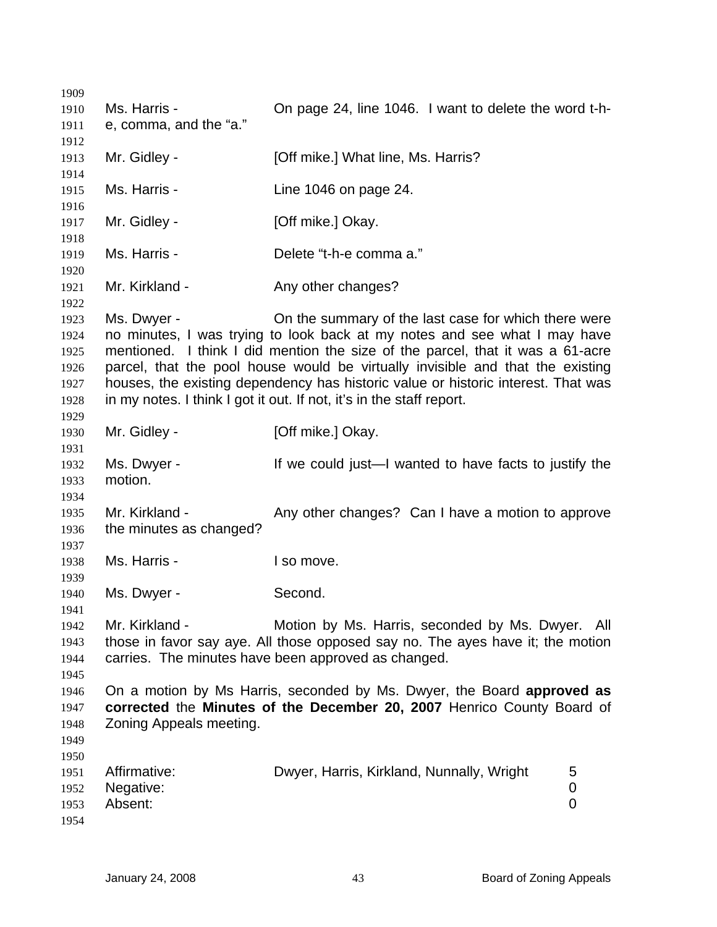Ms. Harris - Chipage 24, line 1046. I want to delete the word t-he, comma, and the "a." Mr. Gidley - **[Off mike.] What line, Ms. Harris?** Ms. Harris - The 1046 on page 24. Mr. Gidley - [Off mike.] Okay. Ms. Harris - Delete "t-h-e comma a." Mr. Kirkland - The Any other changes? Ms. Dwyer - On the summary of the last case for which there were no minutes, I was trying to look back at my notes and see what I may have mentioned. I think I did mention the size of the parcel, that it was a 61-acre parcel, that the pool house would be virtually invisible and that the existing houses, the existing dependency has historic value or historic interest. That was in my notes. I think I got it out. If not, it's in the staff report. Mr. Gidley - **[Off mike.] Okay.** Ms. Dwyer - The Music Lif we could just—I wanted to have facts to justify the motion. Mr. Kirkland - Any other changes? Can I have a motion to approve the minutes as changed? Ms. Harris - I so move. Ms. Dwyer - Second. Mr. Kirkland - The Motion by Ms. Harris, seconded by Ms. Dwyer. All those in favor say aye. All those opposed say no. The ayes have it; the motion carries. The minutes have been approved as changed. On a motion by Ms Harris, seconded by Ms. Dwyer, the Board **approved as corrected** the **Minutes of the December 20, 2007** Henrico County Board of Zoning Appeals meeting. Affirmative: Dwyer, Harris, Kirkland, Nunnally, Wright 5 Negative: 0 Absent: 0